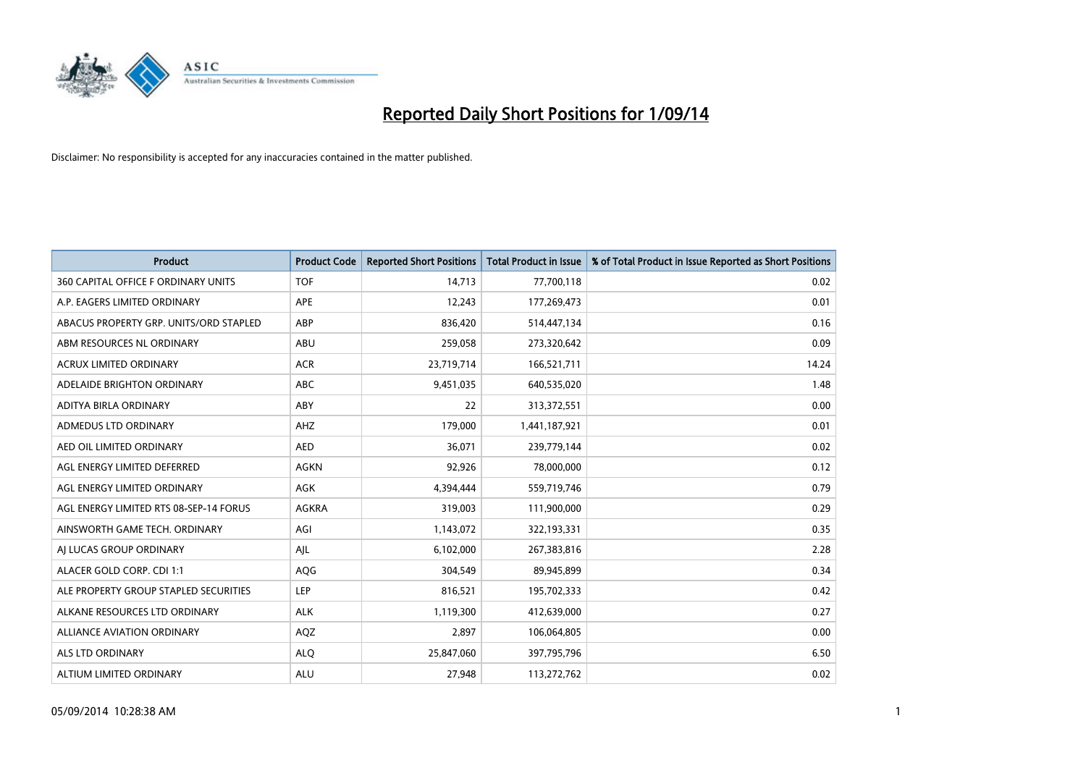

| <b>Product</b>                         | <b>Product Code</b> | <b>Reported Short Positions</b> | <b>Total Product in Issue</b> | % of Total Product in Issue Reported as Short Positions |
|----------------------------------------|---------------------|---------------------------------|-------------------------------|---------------------------------------------------------|
| 360 CAPITAL OFFICE F ORDINARY UNITS    | <b>TOF</b>          | 14.713                          | 77,700,118                    | 0.02                                                    |
| A.P. EAGERS LIMITED ORDINARY           | <b>APE</b>          | 12,243                          | 177,269,473                   | 0.01                                                    |
| ABACUS PROPERTY GRP. UNITS/ORD STAPLED | ABP                 | 836,420                         | 514,447,134                   | 0.16                                                    |
| ABM RESOURCES NL ORDINARY              | ABU                 | 259,058                         | 273,320,642                   | 0.09                                                    |
| <b>ACRUX LIMITED ORDINARY</b>          | <b>ACR</b>          | 23,719,714                      | 166,521,711                   | 14.24                                                   |
| ADELAIDE BRIGHTON ORDINARY             | <b>ABC</b>          | 9,451,035                       | 640,535,020                   | 1.48                                                    |
| ADITYA BIRLA ORDINARY                  | ABY                 | 22                              | 313,372,551                   | 0.00                                                    |
| ADMEDUS LTD ORDINARY                   | AHZ                 | 179,000                         | 1,441,187,921                 | 0.01                                                    |
| AED OIL LIMITED ORDINARY               | <b>AED</b>          | 36,071                          | 239,779,144                   | 0.02                                                    |
| AGL ENERGY LIMITED DEFERRED            | <b>AGKN</b>         | 92,926                          | 78,000,000                    | 0.12                                                    |
| AGL ENERGY LIMITED ORDINARY            | AGK                 | 4,394,444                       | 559,719,746                   | 0.79                                                    |
| AGL ENERGY LIMITED RTS 08-SEP-14 FORUS | AGKRA               | 319,003                         | 111,900,000                   | 0.29                                                    |
| AINSWORTH GAME TECH. ORDINARY          | AGI                 | 1,143,072                       | 322,193,331                   | 0.35                                                    |
| AI LUCAS GROUP ORDINARY                | AJL                 | 6,102,000                       | 267,383,816                   | 2.28                                                    |
| ALACER GOLD CORP. CDI 1:1              | AQG                 | 304,549                         | 89,945,899                    | 0.34                                                    |
| ALE PROPERTY GROUP STAPLED SECURITIES  | LEP                 | 816,521                         | 195,702,333                   | 0.42                                                    |
| ALKANE RESOURCES LTD ORDINARY          | <b>ALK</b>          | 1,119,300                       | 412,639,000                   | 0.27                                                    |
| ALLIANCE AVIATION ORDINARY             | AQZ                 | 2,897                           | 106,064,805                   | 0.00                                                    |
| <b>ALS LTD ORDINARY</b>                | <b>ALO</b>          | 25,847,060                      | 397,795,796                   | 6.50                                                    |
| ALTIUM LIMITED ORDINARY                | <b>ALU</b>          | 27,948                          | 113,272,762                   | 0.02                                                    |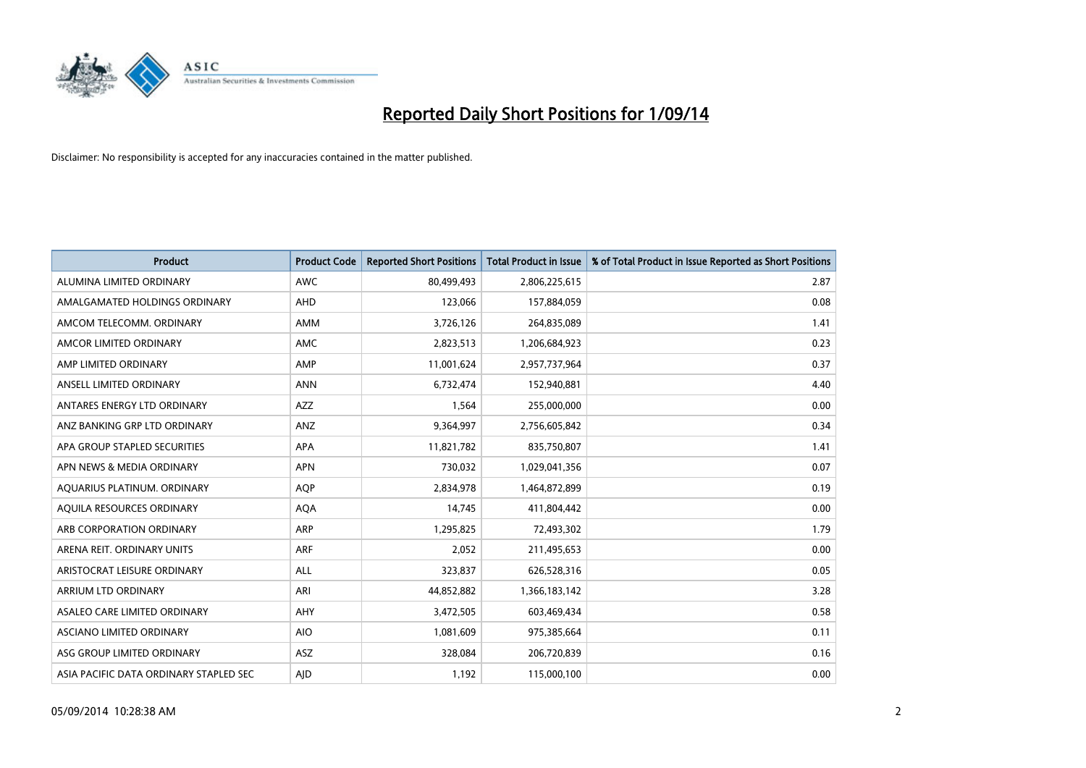

| <b>Product</b>                         | <b>Product Code</b> | <b>Reported Short Positions</b> | <b>Total Product in Issue</b> | % of Total Product in Issue Reported as Short Positions |
|----------------------------------------|---------------------|---------------------------------|-------------------------------|---------------------------------------------------------|
| ALUMINA LIMITED ORDINARY               | <b>AWC</b>          | 80,499,493                      | 2,806,225,615                 | 2.87                                                    |
| AMALGAMATED HOLDINGS ORDINARY          | AHD                 | 123,066                         | 157,884,059                   | 0.08                                                    |
| AMCOM TELECOMM. ORDINARY               | AMM                 | 3,726,126                       | 264,835,089                   | 1.41                                                    |
| AMCOR LIMITED ORDINARY                 | AMC                 | 2,823,513                       | 1,206,684,923                 | 0.23                                                    |
| AMP LIMITED ORDINARY                   | AMP                 | 11,001,624                      | 2,957,737,964                 | 0.37                                                    |
| ANSELL LIMITED ORDINARY                | <b>ANN</b>          | 6,732,474                       | 152,940,881                   | 4.40                                                    |
| ANTARES ENERGY LTD ORDINARY            | AZZ                 | 1,564                           | 255,000,000                   | 0.00                                                    |
| ANZ BANKING GRP LTD ORDINARY           | ANZ                 | 9,364,997                       | 2,756,605,842                 | 0.34                                                    |
| APA GROUP STAPLED SECURITIES           | APA                 | 11,821,782                      | 835,750,807                   | 1.41                                                    |
| APN NEWS & MEDIA ORDINARY              | <b>APN</b>          | 730,032                         | 1,029,041,356                 | 0.07                                                    |
| AQUARIUS PLATINUM. ORDINARY            | <b>AOP</b>          | 2,834,978                       | 1,464,872,899                 | 0.19                                                    |
| AQUILA RESOURCES ORDINARY              | <b>AQA</b>          | 14,745                          | 411,804,442                   | 0.00                                                    |
| ARB CORPORATION ORDINARY               | ARP                 | 1,295,825                       | 72,493,302                    | 1.79                                                    |
| ARENA REIT. ORDINARY UNITS             | <b>ARF</b>          | 2,052                           | 211,495,653                   | 0.00                                                    |
| ARISTOCRAT LEISURE ORDINARY            | ALL                 | 323,837                         | 626,528,316                   | 0.05                                                    |
| ARRIUM LTD ORDINARY                    | ARI                 | 44,852,882                      | 1,366,183,142                 | 3.28                                                    |
| ASALEO CARE LIMITED ORDINARY           | AHY                 | 3,472,505                       | 603,469,434                   | 0.58                                                    |
| ASCIANO LIMITED ORDINARY               | <b>AIO</b>          | 1,081,609                       | 975,385,664                   | 0.11                                                    |
| ASG GROUP LIMITED ORDINARY             | ASZ                 | 328,084                         | 206,720,839                   | 0.16                                                    |
| ASIA PACIFIC DATA ORDINARY STAPLED SEC | AJD                 | 1,192                           | 115,000,100                   | 0.00                                                    |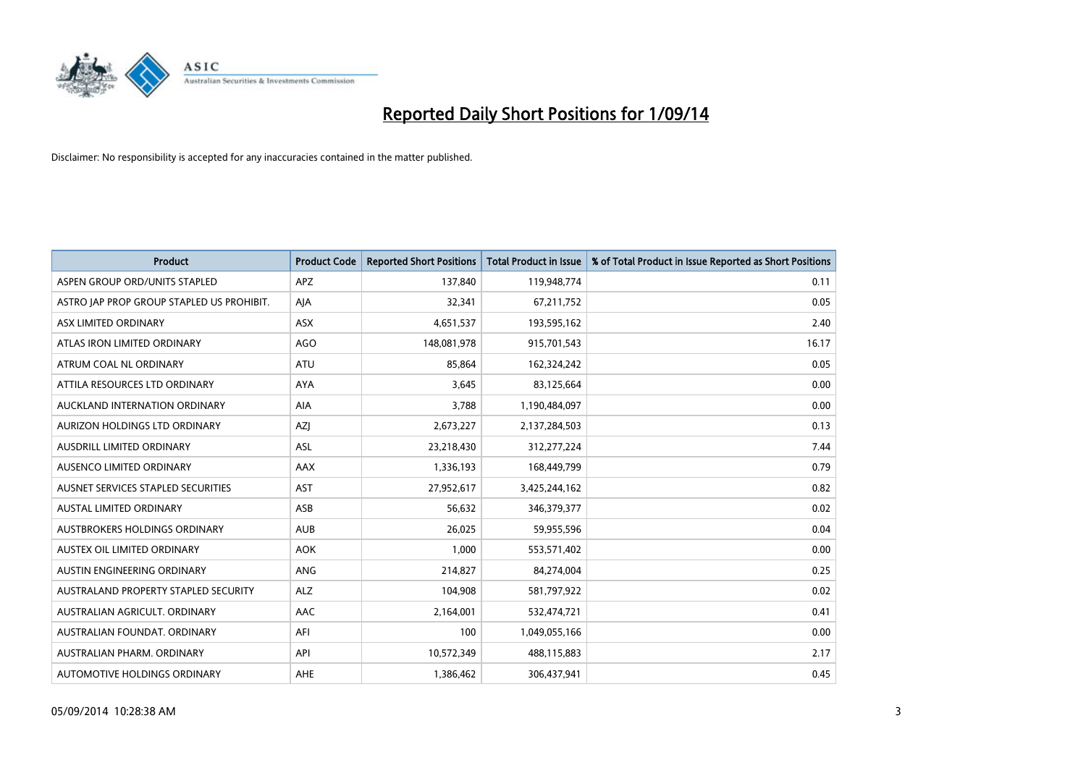

| <b>Product</b>                            | <b>Product Code</b> | <b>Reported Short Positions</b> | <b>Total Product in Issue</b> | % of Total Product in Issue Reported as Short Positions |
|-------------------------------------------|---------------------|---------------------------------|-------------------------------|---------------------------------------------------------|
| ASPEN GROUP ORD/UNITS STAPLED             | <b>APZ</b>          | 137,840                         | 119,948,774                   | 0.11                                                    |
| ASTRO JAP PROP GROUP STAPLED US PROHIBIT. | AIA                 | 32,341                          | 67,211,752                    | 0.05                                                    |
| ASX LIMITED ORDINARY                      | <b>ASX</b>          | 4,651,537                       | 193,595,162                   | 2.40                                                    |
| ATLAS IRON LIMITED ORDINARY               | <b>AGO</b>          | 148,081,978                     | 915,701,543                   | 16.17                                                   |
| ATRUM COAL NL ORDINARY                    | ATU                 | 85,864                          | 162,324,242                   | 0.05                                                    |
| ATTILA RESOURCES LTD ORDINARY             | <b>AYA</b>          | 3,645                           | 83,125,664                    | 0.00                                                    |
| AUCKLAND INTERNATION ORDINARY             | AIA                 | 3,788                           | 1,190,484,097                 | 0.00                                                    |
| AURIZON HOLDINGS LTD ORDINARY             | AZJ                 | 2,673,227                       | 2,137,284,503                 | 0.13                                                    |
| AUSDRILL LIMITED ORDINARY                 | <b>ASL</b>          | 23,218,430                      | 312,277,224                   | 7.44                                                    |
| AUSENCO LIMITED ORDINARY                  | AAX                 | 1,336,193                       | 168,449,799                   | 0.79                                                    |
| AUSNET SERVICES STAPLED SECURITIES        | <b>AST</b>          | 27,952,617                      | 3,425,244,162                 | 0.82                                                    |
| <b>AUSTAL LIMITED ORDINARY</b>            | ASB                 | 56,632                          | 346,379,377                   | 0.02                                                    |
| AUSTBROKERS HOLDINGS ORDINARY             | <b>AUB</b>          | 26,025                          | 59,955,596                    | 0.04                                                    |
| AUSTEX OIL LIMITED ORDINARY               | <b>AOK</b>          | 1,000                           | 553,571,402                   | 0.00                                                    |
| AUSTIN ENGINEERING ORDINARY               | ANG                 | 214,827                         | 84,274,004                    | 0.25                                                    |
| AUSTRALAND PROPERTY STAPLED SECURITY      | <b>ALZ</b>          | 104,908                         | 581,797,922                   | 0.02                                                    |
| AUSTRALIAN AGRICULT. ORDINARY             | AAC                 | 2,164,001                       | 532,474,721                   | 0.41                                                    |
| AUSTRALIAN FOUNDAT, ORDINARY              | AFI                 | 100                             | 1,049,055,166                 | 0.00                                                    |
| AUSTRALIAN PHARM, ORDINARY                | API                 | 10,572,349                      | 488,115,883                   | 2.17                                                    |
| AUTOMOTIVE HOLDINGS ORDINARY              | <b>AHE</b>          | 1,386,462                       | 306,437,941                   | 0.45                                                    |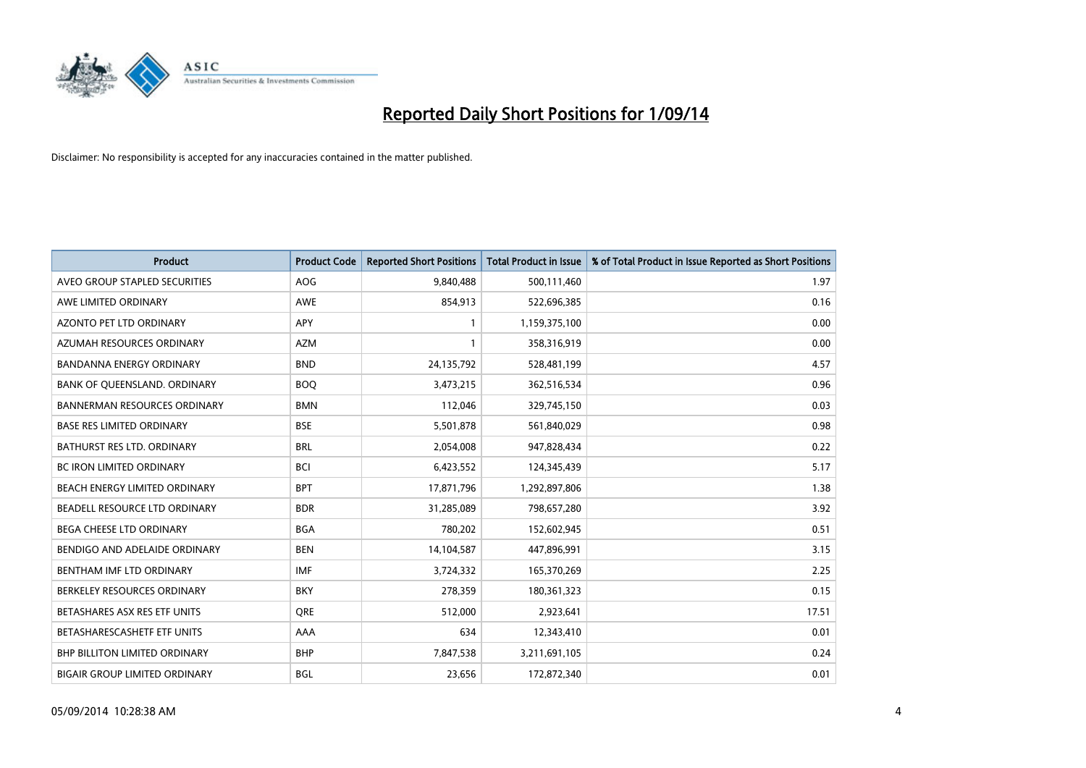

| <b>Product</b>                       | <b>Product Code</b> | <b>Reported Short Positions</b> | <b>Total Product in Issue</b> | % of Total Product in Issue Reported as Short Positions |
|--------------------------------------|---------------------|---------------------------------|-------------------------------|---------------------------------------------------------|
| AVEO GROUP STAPLED SECURITIES        | AOG                 | 9,840,488                       | 500,111,460                   | 1.97                                                    |
| AWE LIMITED ORDINARY                 | AWE                 | 854,913                         | 522,696,385                   | 0.16                                                    |
| <b>AZONTO PET LTD ORDINARY</b>       | <b>APY</b>          | 1                               | 1,159,375,100                 | 0.00                                                    |
| AZUMAH RESOURCES ORDINARY            | <b>AZM</b>          | $\mathbf{1}$                    | 358,316,919                   | 0.00                                                    |
| <b>BANDANNA ENERGY ORDINARY</b>      | <b>BND</b>          | 24,135,792                      | 528,481,199                   | 4.57                                                    |
| BANK OF QUEENSLAND. ORDINARY         | <b>BOQ</b>          | 3,473,215                       | 362,516,534                   | 0.96                                                    |
| <b>BANNERMAN RESOURCES ORDINARY</b>  | <b>BMN</b>          | 112,046                         | 329,745,150                   | 0.03                                                    |
| <b>BASE RES LIMITED ORDINARY</b>     | <b>BSE</b>          | 5,501,878                       | 561,840,029                   | 0.98                                                    |
| <b>BATHURST RES LTD. ORDINARY</b>    | <b>BRL</b>          | 2,054,008                       | 947,828,434                   | 0.22                                                    |
| <b>BC IRON LIMITED ORDINARY</b>      | <b>BCI</b>          | 6,423,552                       | 124,345,439                   | 5.17                                                    |
| BEACH ENERGY LIMITED ORDINARY        | <b>BPT</b>          | 17,871,796                      | 1,292,897,806                 | 1.38                                                    |
| BEADELL RESOURCE LTD ORDINARY        | <b>BDR</b>          | 31,285,089                      | 798,657,280                   | 3.92                                                    |
| BEGA CHEESE LTD ORDINARY             | <b>BGA</b>          | 780,202                         | 152,602,945                   | 0.51                                                    |
| BENDIGO AND ADELAIDE ORDINARY        | <b>BEN</b>          | 14,104,587                      | 447,896,991                   | 3.15                                                    |
| BENTHAM IMF LTD ORDINARY             | <b>IMF</b>          | 3,724,332                       | 165,370,269                   | 2.25                                                    |
| BERKELEY RESOURCES ORDINARY          | <b>BKY</b>          | 278,359                         | 180,361,323                   | 0.15                                                    |
| BETASHARES ASX RES ETF UNITS         | <b>ORE</b>          | 512,000                         | 2,923,641                     | 17.51                                                   |
| BETASHARESCASHETF ETF UNITS          | AAA                 | 634                             | 12,343,410                    | 0.01                                                    |
| <b>BHP BILLITON LIMITED ORDINARY</b> | <b>BHP</b>          | 7,847,538                       | 3,211,691,105                 | 0.24                                                    |
| <b>BIGAIR GROUP LIMITED ORDINARY</b> | <b>BGL</b>          | 23,656                          | 172,872,340                   | 0.01                                                    |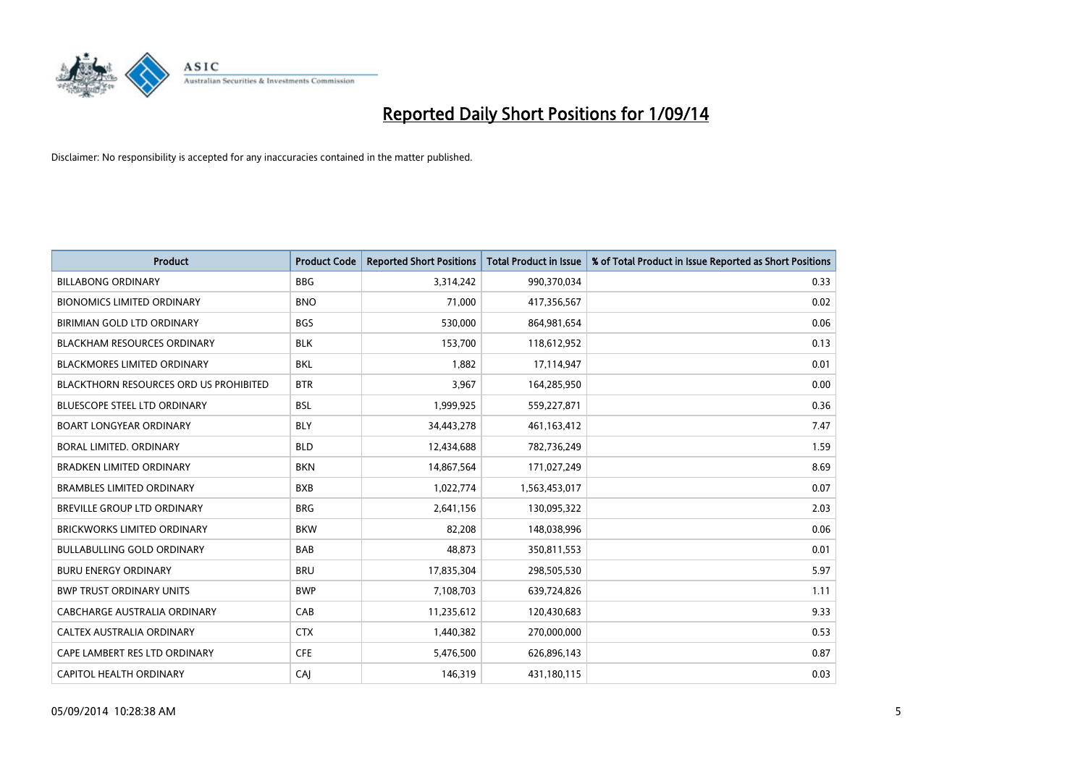

| <b>Product</b>                                | <b>Product Code</b> | <b>Reported Short Positions</b> | <b>Total Product in Issue</b> | % of Total Product in Issue Reported as Short Positions |
|-----------------------------------------------|---------------------|---------------------------------|-------------------------------|---------------------------------------------------------|
| <b>BILLABONG ORDINARY</b>                     | <b>BBG</b>          | 3,314,242                       | 990,370,034                   | 0.33                                                    |
| <b>BIONOMICS LIMITED ORDINARY</b>             | <b>BNO</b>          | 71,000                          | 417,356,567                   | 0.02                                                    |
| BIRIMIAN GOLD LTD ORDINARY                    | <b>BGS</b>          | 530,000                         | 864,981,654                   | 0.06                                                    |
| <b>BLACKHAM RESOURCES ORDINARY</b>            | <b>BLK</b>          | 153,700                         | 118,612,952                   | 0.13                                                    |
| <b>BLACKMORES LIMITED ORDINARY</b>            | <b>BKL</b>          | 1,882                           | 17,114,947                    | 0.01                                                    |
| <b>BLACKTHORN RESOURCES ORD US PROHIBITED</b> | <b>BTR</b>          | 3,967                           | 164,285,950                   | 0.00                                                    |
| BLUESCOPE STEEL LTD ORDINARY                  | <b>BSL</b>          | 1,999,925                       | 559,227,871                   | 0.36                                                    |
| <b>BOART LONGYEAR ORDINARY</b>                | <b>BLY</b>          | 34,443,278                      | 461,163,412                   | 7.47                                                    |
| <b>BORAL LIMITED, ORDINARY</b>                | <b>BLD</b>          | 12,434,688                      | 782,736,249                   | 1.59                                                    |
| <b>BRADKEN LIMITED ORDINARY</b>               | <b>BKN</b>          | 14,867,564                      | 171,027,249                   | 8.69                                                    |
| <b>BRAMBLES LIMITED ORDINARY</b>              | <b>BXB</b>          | 1,022,774                       | 1,563,453,017                 | 0.07                                                    |
| BREVILLE GROUP LTD ORDINARY                   | <b>BRG</b>          | 2,641,156                       | 130,095,322                   | 2.03                                                    |
| <b>BRICKWORKS LIMITED ORDINARY</b>            | <b>BKW</b>          | 82,208                          | 148,038,996                   | 0.06                                                    |
| <b>BULLABULLING GOLD ORDINARY</b>             | BAB                 | 48,873                          | 350,811,553                   | 0.01                                                    |
| <b>BURU ENERGY ORDINARY</b>                   | <b>BRU</b>          | 17,835,304                      | 298,505,530                   | 5.97                                                    |
| <b>BWP TRUST ORDINARY UNITS</b>               | <b>BWP</b>          | 7,108,703                       | 639,724,826                   | 1.11                                                    |
| CABCHARGE AUSTRALIA ORDINARY                  | CAB                 | 11,235,612                      | 120,430,683                   | 9.33                                                    |
| CALTEX AUSTRALIA ORDINARY                     | <b>CTX</b>          | 1,440,382                       | 270,000,000                   | 0.53                                                    |
| CAPE LAMBERT RES LTD ORDINARY                 | <b>CFE</b>          | 5,476,500                       | 626,896,143                   | 0.87                                                    |
| <b>CAPITOL HEALTH ORDINARY</b>                | CAJ                 | 146,319                         | 431,180,115                   | 0.03                                                    |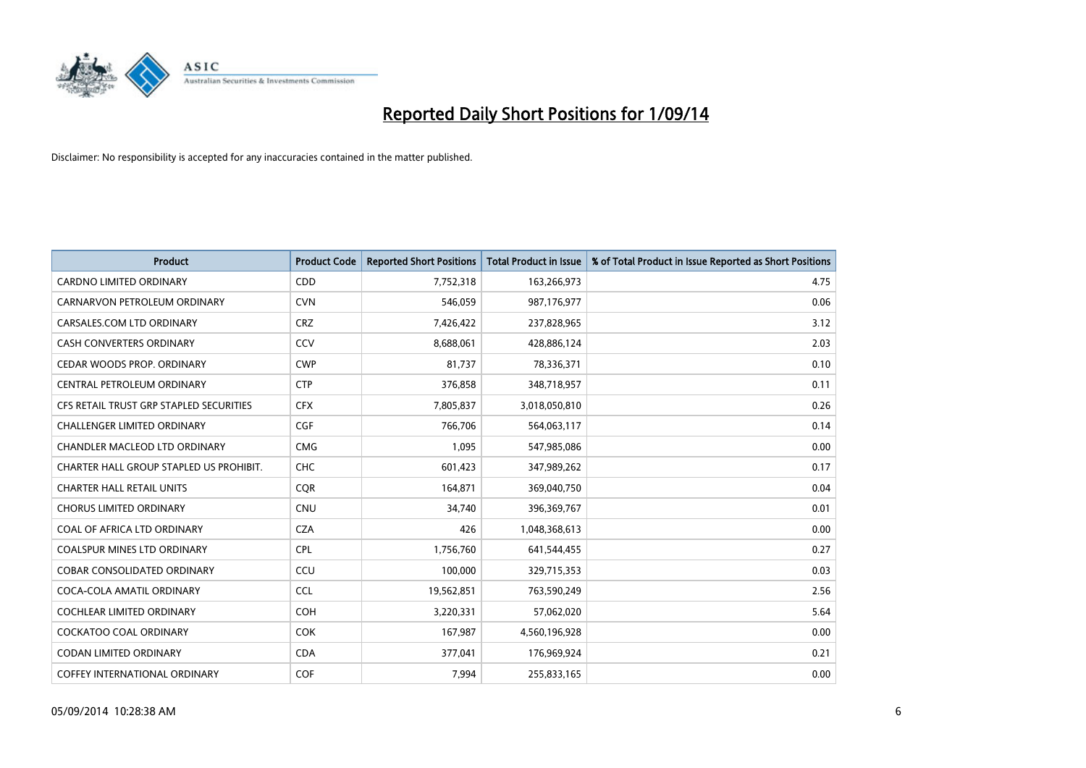

| <b>Product</b>                          | <b>Product Code</b> | <b>Reported Short Positions</b> | <b>Total Product in Issue</b> | % of Total Product in Issue Reported as Short Positions |
|-----------------------------------------|---------------------|---------------------------------|-------------------------------|---------------------------------------------------------|
| <b>CARDNO LIMITED ORDINARY</b>          | CDD                 | 7,752,318                       | 163,266,973                   | 4.75                                                    |
| CARNARVON PETROLEUM ORDINARY            | <b>CVN</b>          | 546,059                         | 987,176,977                   | 0.06                                                    |
| CARSALES.COM LTD ORDINARY               | <b>CRZ</b>          | 7,426,422                       | 237,828,965                   | 3.12                                                    |
| CASH CONVERTERS ORDINARY                | CCV                 | 8,688,061                       | 428,886,124                   | 2.03                                                    |
| CEDAR WOODS PROP. ORDINARY              | <b>CWP</b>          | 81,737                          | 78,336,371                    | 0.10                                                    |
| CENTRAL PETROLEUM ORDINARY              | <b>CTP</b>          | 376,858                         | 348,718,957                   | 0.11                                                    |
| CFS RETAIL TRUST GRP STAPLED SECURITIES | <b>CFX</b>          | 7,805,837                       | 3,018,050,810                 | 0.26                                                    |
| <b>CHALLENGER LIMITED ORDINARY</b>      | <b>CGF</b>          | 766,706                         | 564,063,117                   | 0.14                                                    |
| CHANDLER MACLEOD LTD ORDINARY           | <b>CMG</b>          | 1,095                           | 547,985,086                   | 0.00                                                    |
| CHARTER HALL GROUP STAPLED US PROHIBIT. | <b>CHC</b>          | 601,423                         | 347,989,262                   | 0.17                                                    |
| <b>CHARTER HALL RETAIL UNITS</b>        | <b>CQR</b>          | 164,871                         | 369,040,750                   | 0.04                                                    |
| <b>CHORUS LIMITED ORDINARY</b>          | <b>CNU</b>          | 34,740                          | 396,369,767                   | 0.01                                                    |
| COAL OF AFRICA LTD ORDINARY             | <b>CZA</b>          | 426                             | 1,048,368,613                 | 0.00                                                    |
| <b>COALSPUR MINES LTD ORDINARY</b>      | <b>CPL</b>          | 1,756,760                       | 641,544,455                   | 0.27                                                    |
| <b>COBAR CONSOLIDATED ORDINARY</b>      | CCU                 | 100,000                         | 329,715,353                   | 0.03                                                    |
| COCA-COLA AMATIL ORDINARY               | <b>CCL</b>          | 19,562,851                      | 763,590,249                   | 2.56                                                    |
| COCHLEAR LIMITED ORDINARY               | <b>COH</b>          | 3,220,331                       | 57,062,020                    | 5.64                                                    |
| <b>COCKATOO COAL ORDINARY</b>           | <b>COK</b>          | 167,987                         | 4,560,196,928                 | 0.00                                                    |
| <b>CODAN LIMITED ORDINARY</b>           | <b>CDA</b>          | 377,041                         | 176,969,924                   | 0.21                                                    |
| <b>COFFEY INTERNATIONAL ORDINARY</b>    | <b>COF</b>          | 7,994                           | 255,833,165                   | 0.00                                                    |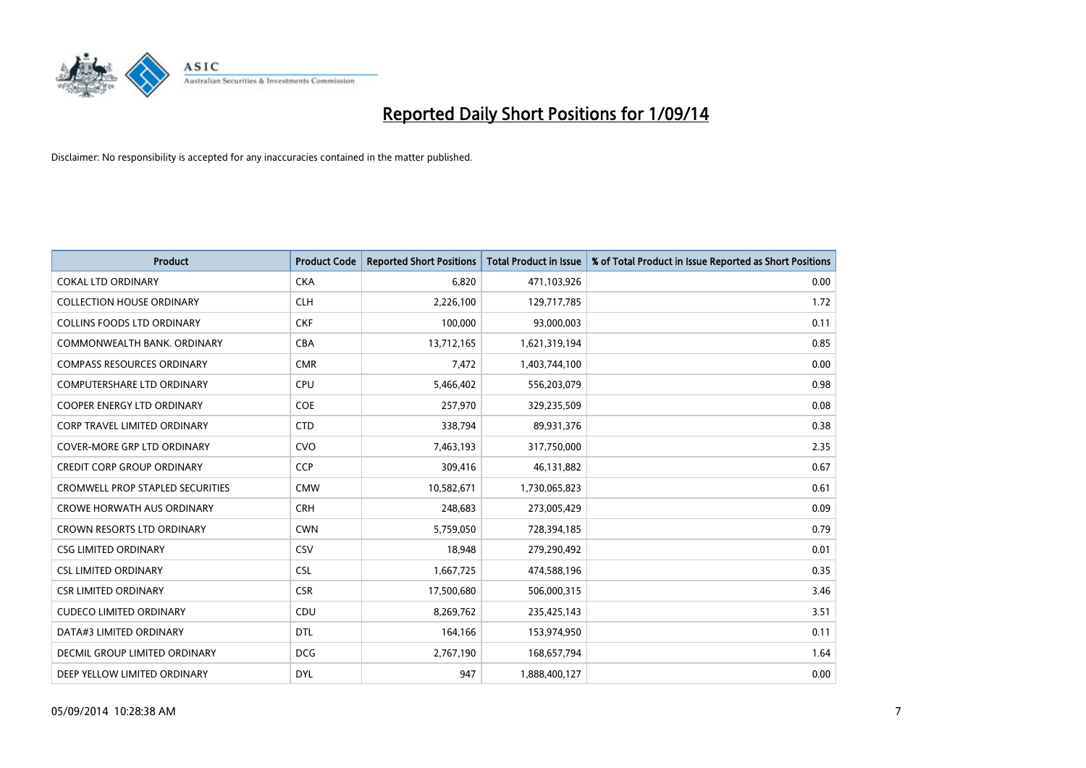

| <b>Product</b>                      | <b>Product Code</b> | <b>Reported Short Positions</b> | <b>Total Product in Issue</b> | % of Total Product in Issue Reported as Short Positions |
|-------------------------------------|---------------------|---------------------------------|-------------------------------|---------------------------------------------------------|
| <b>COKAL LTD ORDINARY</b>           | <b>CKA</b>          | 6,820                           | 471,103,926                   | 0.00                                                    |
| <b>COLLECTION HOUSE ORDINARY</b>    | <b>CLH</b>          | 2,226,100                       | 129,717,785                   | 1.72                                                    |
| <b>COLLINS FOODS LTD ORDINARY</b>   | <b>CKF</b>          | 100,000                         | 93,000,003                    | 0.11                                                    |
| COMMONWEALTH BANK, ORDINARY         | <b>CBA</b>          | 13,712,165                      | 1,621,319,194                 | 0.85                                                    |
| <b>COMPASS RESOURCES ORDINARY</b>   | <b>CMR</b>          | 7,472                           | 1,403,744,100                 | 0.00                                                    |
| <b>COMPUTERSHARE LTD ORDINARY</b>   | <b>CPU</b>          | 5,466,402                       | 556,203,079                   | 0.98                                                    |
| <b>COOPER ENERGY LTD ORDINARY</b>   | <b>COE</b>          | 257,970                         | 329,235,509                   | 0.08                                                    |
| <b>CORP TRAVEL LIMITED ORDINARY</b> | <b>CTD</b>          | 338,794                         | 89,931,376                    | 0.38                                                    |
| <b>COVER-MORE GRP LTD ORDINARY</b>  | <b>CVO</b>          | 7,463,193                       | 317,750,000                   | 2.35                                                    |
| <b>CREDIT CORP GROUP ORDINARY</b>   | CCP                 | 309,416                         | 46,131,882                    | 0.67                                                    |
| CROMWELL PROP STAPLED SECURITIES    | <b>CMW</b>          | 10,582,671                      | 1,730,065,823                 | 0.61                                                    |
| <b>CROWE HORWATH AUS ORDINARY</b>   | <b>CRH</b>          | 248,683                         | 273,005,429                   | 0.09                                                    |
| CROWN RESORTS LTD ORDINARY          | <b>CWN</b>          | 5,759,050                       | 728,394,185                   | 0.79                                                    |
| <b>CSG LIMITED ORDINARY</b>         | CSV                 | 18,948                          | 279,290,492                   | 0.01                                                    |
| <b>CSL LIMITED ORDINARY</b>         | <b>CSL</b>          | 1,667,725                       | 474,588,196                   | 0.35                                                    |
| <b>CSR LIMITED ORDINARY</b>         | <b>CSR</b>          | 17,500,680                      | 506,000,315                   | 3.46                                                    |
| <b>CUDECO LIMITED ORDINARY</b>      | CDU                 | 8,269,762                       | 235,425,143                   | 3.51                                                    |
| DATA#3 LIMITED ORDINARY             | <b>DTL</b>          | 164,166                         | 153,974,950                   | 0.11                                                    |
| DECMIL GROUP LIMITED ORDINARY       | <b>DCG</b>          | 2,767,190                       | 168,657,794                   | 1.64                                                    |
| DEEP YELLOW LIMITED ORDINARY        | <b>DYL</b>          | 947                             | 1,888,400,127                 | 0.00                                                    |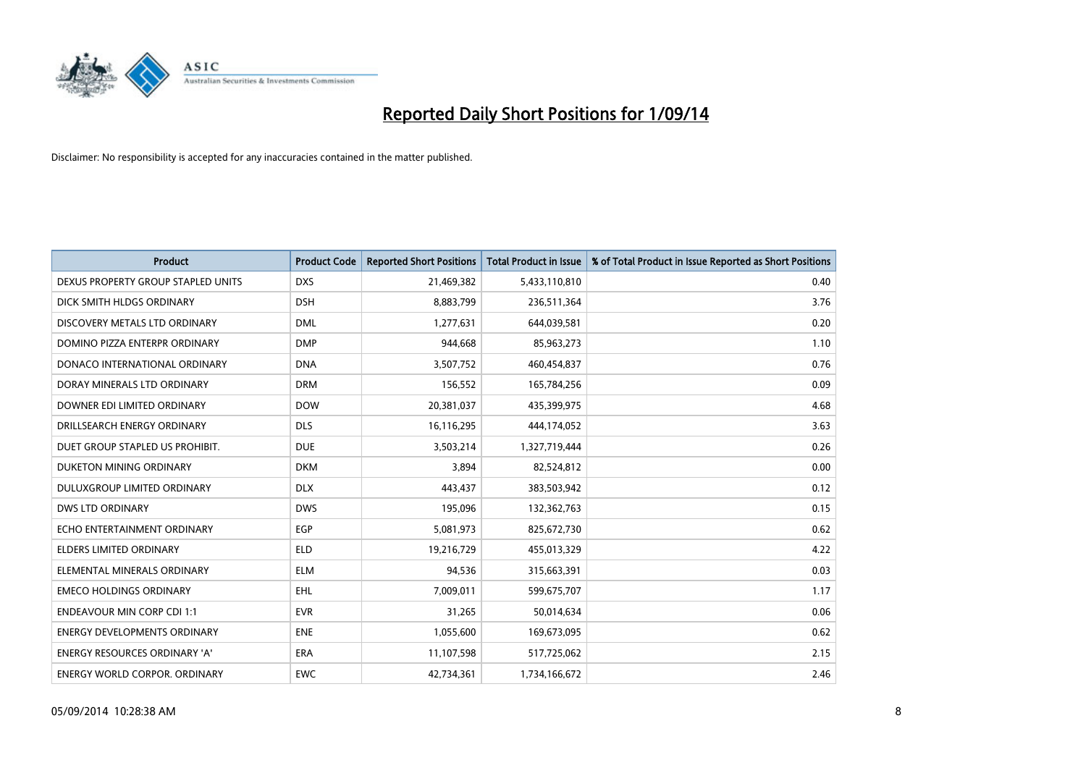

| <b>Product</b>                       | <b>Product Code</b> | <b>Reported Short Positions</b> | <b>Total Product in Issue</b> | % of Total Product in Issue Reported as Short Positions |
|--------------------------------------|---------------------|---------------------------------|-------------------------------|---------------------------------------------------------|
| DEXUS PROPERTY GROUP STAPLED UNITS   | <b>DXS</b>          | 21,469,382                      | 5,433,110,810                 | 0.40                                                    |
| DICK SMITH HLDGS ORDINARY            | <b>DSH</b>          | 8,883,799                       | 236,511,364                   | 3.76                                                    |
| DISCOVERY METALS LTD ORDINARY        | <b>DML</b>          | 1,277,631                       | 644,039,581                   | 0.20                                                    |
| DOMINO PIZZA ENTERPR ORDINARY        | <b>DMP</b>          | 944,668                         | 85,963,273                    | 1.10                                                    |
| DONACO INTERNATIONAL ORDINARY        | <b>DNA</b>          | 3,507,752                       | 460,454,837                   | 0.76                                                    |
| DORAY MINERALS LTD ORDINARY          | <b>DRM</b>          | 156,552                         | 165,784,256                   | 0.09                                                    |
| DOWNER EDI LIMITED ORDINARY          | <b>DOW</b>          | 20,381,037                      | 435,399,975                   | 4.68                                                    |
| DRILLSEARCH ENERGY ORDINARY          | <b>DLS</b>          | 16,116,295                      | 444,174,052                   | 3.63                                                    |
| DUET GROUP STAPLED US PROHIBIT.      | <b>DUE</b>          | 3,503,214                       | 1,327,719,444                 | 0.26                                                    |
| DUKETON MINING ORDINARY              | <b>DKM</b>          | 3.894                           | 82,524,812                    | 0.00                                                    |
| DULUXGROUP LIMITED ORDINARY          | <b>DLX</b>          | 443,437                         | 383,503,942                   | 0.12                                                    |
| <b>DWS LTD ORDINARY</b>              | <b>DWS</b>          | 195,096                         | 132,362,763                   | 0.15                                                    |
| ECHO ENTERTAINMENT ORDINARY          | <b>EGP</b>          | 5,081,973                       | 825,672,730                   | 0.62                                                    |
| <b>ELDERS LIMITED ORDINARY</b>       | <b>ELD</b>          | 19,216,729                      | 455,013,329                   | 4.22                                                    |
| ELEMENTAL MINERALS ORDINARY          | <b>ELM</b>          | 94,536                          | 315,663,391                   | 0.03                                                    |
| <b>EMECO HOLDINGS ORDINARY</b>       | <b>EHL</b>          | 7,009,011                       | 599,675,707                   | 1.17                                                    |
| <b>ENDEAVOUR MIN CORP CDI 1:1</b>    | <b>EVR</b>          | 31,265                          | 50,014,634                    | 0.06                                                    |
| <b>ENERGY DEVELOPMENTS ORDINARY</b>  | <b>ENE</b>          | 1,055,600                       | 169,673,095                   | 0.62                                                    |
| <b>ENERGY RESOURCES ORDINARY 'A'</b> | <b>ERA</b>          | 11,107,598                      | 517,725,062                   | 2.15                                                    |
| <b>ENERGY WORLD CORPOR, ORDINARY</b> | <b>EWC</b>          | 42.734.361                      | 1,734,166,672                 | 2.46                                                    |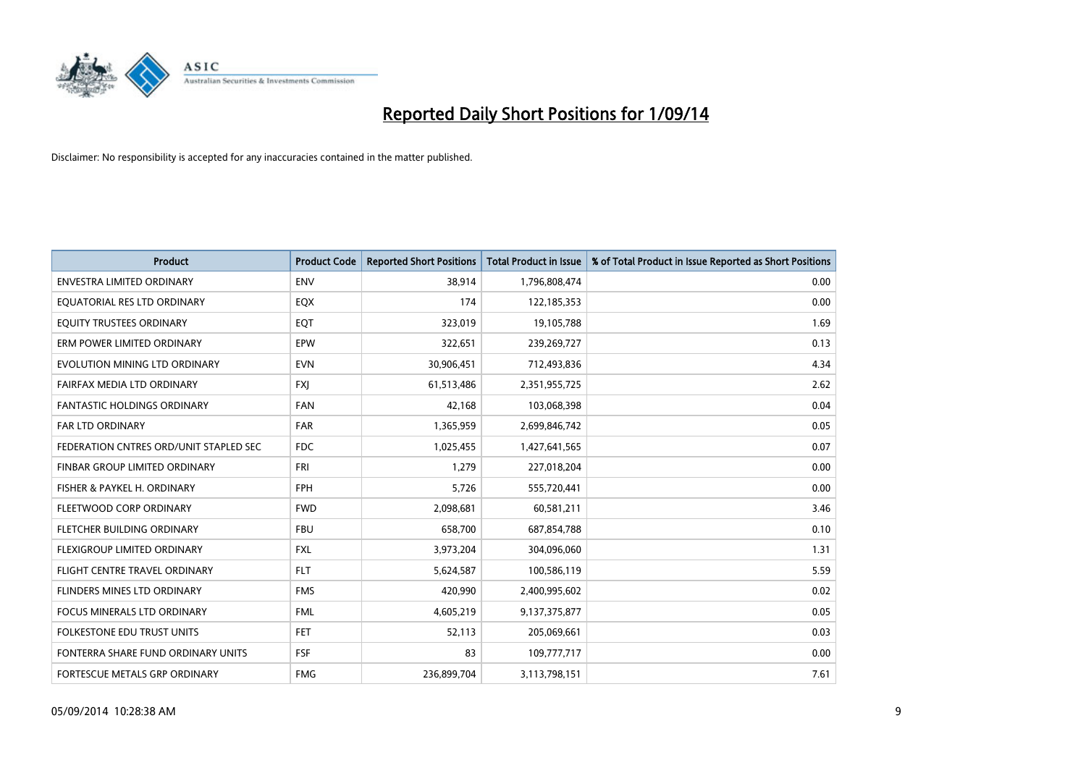

| <b>Product</b>                         | <b>Product Code</b> | <b>Reported Short Positions</b> | <b>Total Product in Issue</b> | % of Total Product in Issue Reported as Short Positions |
|----------------------------------------|---------------------|---------------------------------|-------------------------------|---------------------------------------------------------|
| <b>ENVESTRA LIMITED ORDINARY</b>       | <b>ENV</b>          | 38,914                          | 1,796,808,474                 | 0.00                                                    |
| EQUATORIAL RES LTD ORDINARY            | EQX                 | 174                             | 122,185,353                   | 0.00                                                    |
| EQUITY TRUSTEES ORDINARY               | EQT                 | 323,019                         | 19,105,788                    | 1.69                                                    |
| ERM POWER LIMITED ORDINARY             | EPW                 | 322,651                         | 239,269,727                   | 0.13                                                    |
| EVOLUTION MINING LTD ORDINARY          | <b>EVN</b>          | 30,906,451                      | 712,493,836                   | 4.34                                                    |
| FAIRFAX MEDIA LTD ORDINARY             | <b>FXI</b>          | 61,513,486                      | 2,351,955,725                 | 2.62                                                    |
| <b>FANTASTIC HOLDINGS ORDINARY</b>     | <b>FAN</b>          | 42,168                          | 103,068,398                   | 0.04                                                    |
| FAR LTD ORDINARY                       | <b>FAR</b>          | 1,365,959                       | 2,699,846,742                 | 0.05                                                    |
| FEDERATION CNTRES ORD/UNIT STAPLED SEC | <b>FDC</b>          | 1,025,455                       | 1,427,641,565                 | 0.07                                                    |
| FINBAR GROUP LIMITED ORDINARY          | <b>FRI</b>          | 1,279                           | 227,018,204                   | 0.00                                                    |
| FISHER & PAYKEL H. ORDINARY            | <b>FPH</b>          | 5,726                           | 555,720,441                   | 0.00                                                    |
| FLEETWOOD CORP ORDINARY                | <b>FWD</b>          | 2,098,681                       | 60,581,211                    | 3.46                                                    |
| FLETCHER BUILDING ORDINARY             | <b>FBU</b>          | 658,700                         | 687,854,788                   | 0.10                                                    |
| <b>FLEXIGROUP LIMITED ORDINARY</b>     | <b>FXL</b>          | 3,973,204                       | 304,096,060                   | 1.31                                                    |
| FLIGHT CENTRE TRAVEL ORDINARY          | <b>FLT</b>          | 5,624,587                       | 100,586,119                   | 5.59                                                    |
| FLINDERS MINES LTD ORDINARY            | <b>FMS</b>          | 420,990                         | 2,400,995,602                 | 0.02                                                    |
| FOCUS MINERALS LTD ORDINARY            | <b>FML</b>          | 4,605,219                       | 9,137,375,877                 | 0.05                                                    |
| FOLKESTONE EDU TRUST UNITS             | <b>FET</b>          | 52,113                          | 205,069,661                   | 0.03                                                    |
| FONTERRA SHARE FUND ORDINARY UNITS     | <b>FSF</b>          | 83                              | 109,777,717                   | 0.00                                                    |
| FORTESCUE METALS GRP ORDINARY          | <b>FMG</b>          | 236,899,704                     | 3,113,798,151                 | 7.61                                                    |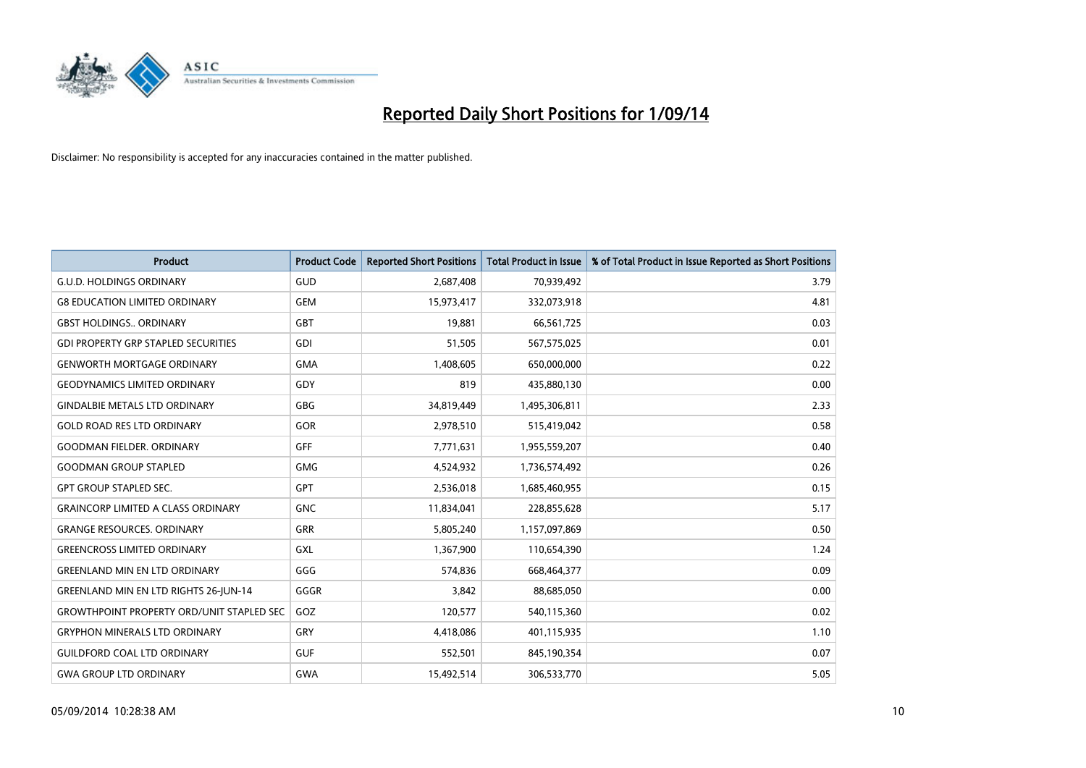

| <b>Product</b>                                   | <b>Product Code</b> | <b>Reported Short Positions</b> | <b>Total Product in Issue</b> | % of Total Product in Issue Reported as Short Positions |
|--------------------------------------------------|---------------------|---------------------------------|-------------------------------|---------------------------------------------------------|
| <b>G.U.D. HOLDINGS ORDINARY</b>                  | GUD                 | 2,687,408                       | 70,939,492                    | 3.79                                                    |
| <b>G8 EDUCATION LIMITED ORDINARY</b>             | <b>GEM</b>          | 15,973,417                      | 332,073,918                   | 4.81                                                    |
| <b>GBST HOLDINGS ORDINARY</b>                    | GBT                 | 19,881                          | 66,561,725                    | 0.03                                                    |
| <b>GDI PROPERTY GRP STAPLED SECURITIES</b>       | GDI                 | 51,505                          | 567,575,025                   | 0.01                                                    |
| <b>GENWORTH MORTGAGE ORDINARY</b>                | <b>GMA</b>          | 1,408,605                       | 650,000,000                   | 0.22                                                    |
| <b>GEODYNAMICS LIMITED ORDINARY</b>              | GDY                 | 819                             | 435,880,130                   | 0.00                                                    |
| <b>GINDALBIE METALS LTD ORDINARY</b>             | GBG                 | 34,819,449                      | 1,495,306,811                 | 2.33                                                    |
| <b>GOLD ROAD RES LTD ORDINARY</b>                | GOR                 | 2,978,510                       | 515,419,042                   | 0.58                                                    |
| <b>GOODMAN FIELDER, ORDINARY</b>                 | GFF                 | 7,771,631                       | 1,955,559,207                 | 0.40                                                    |
| <b>GOODMAN GROUP STAPLED</b>                     | <b>GMG</b>          | 4,524,932                       | 1,736,574,492                 | 0.26                                                    |
| <b>GPT GROUP STAPLED SEC.</b>                    | GPT                 | 2,536,018                       | 1,685,460,955                 | 0.15                                                    |
| <b>GRAINCORP LIMITED A CLASS ORDINARY</b>        | <b>GNC</b>          | 11,834,041                      | 228,855,628                   | 5.17                                                    |
| <b>GRANGE RESOURCES, ORDINARY</b>                | <b>GRR</b>          | 5,805,240                       | 1,157,097,869                 | 0.50                                                    |
| <b>GREENCROSS LIMITED ORDINARY</b>               | GXL                 | 1,367,900                       | 110,654,390                   | 1.24                                                    |
| <b>GREENLAND MIN EN LTD ORDINARY</b>             | GGG                 | 574,836                         | 668,464,377                   | 0.09                                                    |
| <b>GREENLAND MIN EN LTD RIGHTS 26-JUN-14</b>     | GGGR                | 3,842                           | 88,685,050                    | 0.00                                                    |
| <b>GROWTHPOINT PROPERTY ORD/UNIT STAPLED SEC</b> | GOZ                 | 120,577                         | 540,115,360                   | 0.02                                                    |
| <b>GRYPHON MINERALS LTD ORDINARY</b>             | GRY                 | 4,418,086                       | 401,115,935                   | 1.10                                                    |
| <b>GUILDFORD COAL LTD ORDINARY</b>               | <b>GUF</b>          | 552,501                         | 845,190,354                   | 0.07                                                    |
| <b>GWA GROUP LTD ORDINARY</b>                    | <b>GWA</b>          | 15,492,514                      | 306,533,770                   | 5.05                                                    |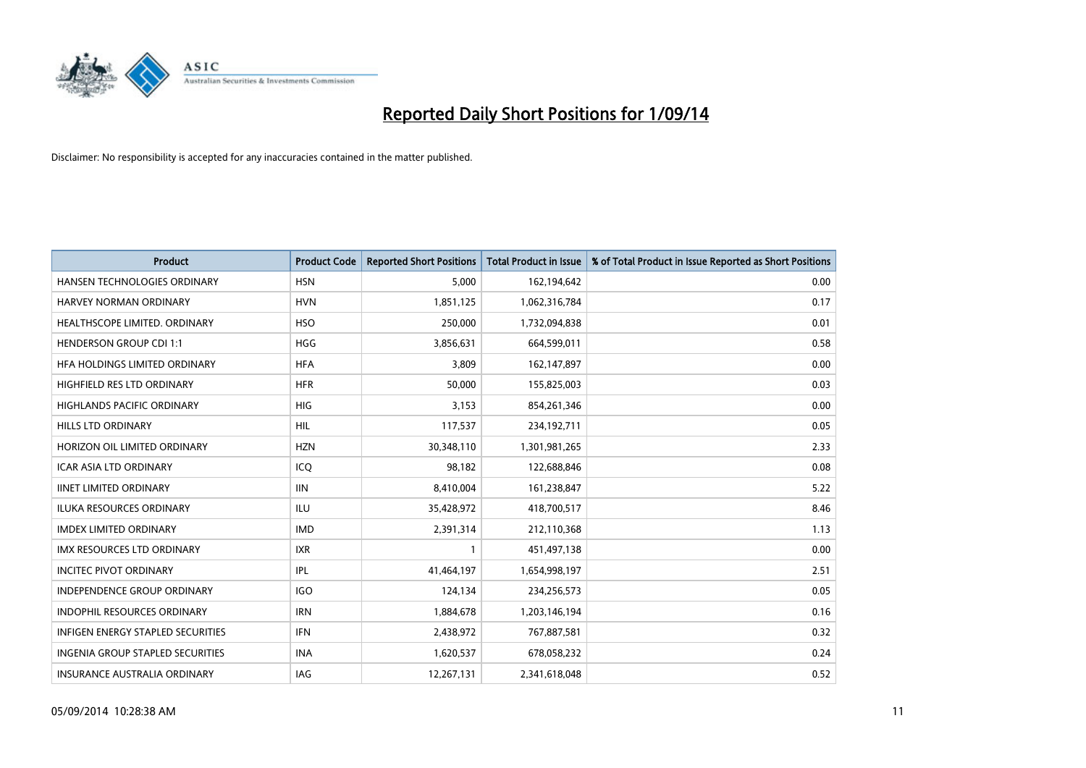

| <b>Product</b>                    | <b>Product Code</b> | <b>Reported Short Positions</b> | <b>Total Product in Issue</b> | % of Total Product in Issue Reported as Short Positions |
|-----------------------------------|---------------------|---------------------------------|-------------------------------|---------------------------------------------------------|
| HANSEN TECHNOLOGIES ORDINARY      | <b>HSN</b>          | 5,000                           | 162,194,642                   | 0.00                                                    |
| HARVEY NORMAN ORDINARY            | <b>HVN</b>          | 1,851,125                       | 1,062,316,784                 | 0.17                                                    |
| HEALTHSCOPE LIMITED. ORDINARY     | <b>HSO</b>          | 250,000                         | 1,732,094,838                 | 0.01                                                    |
| <b>HENDERSON GROUP CDI 1:1</b>    | <b>HGG</b>          | 3,856,631                       | 664,599,011                   | 0.58                                                    |
| HFA HOLDINGS LIMITED ORDINARY     | <b>HFA</b>          | 3,809                           | 162,147,897                   | 0.00                                                    |
| HIGHFIELD RES LTD ORDINARY        | <b>HFR</b>          | 50,000                          | 155,825,003                   | 0.03                                                    |
| <b>HIGHLANDS PACIFIC ORDINARY</b> | <b>HIG</b>          | 3,153                           | 854,261,346                   | 0.00                                                    |
| HILLS LTD ORDINARY                | <b>HIL</b>          | 117,537                         | 234,192,711                   | 0.05                                                    |
| HORIZON OIL LIMITED ORDINARY      | <b>HZN</b>          | 30,348,110                      | 1,301,981,265                 | 2.33                                                    |
| <b>ICAR ASIA LTD ORDINARY</b>     | ICQ                 | 98,182                          | 122,688,846                   | 0.08                                                    |
| <b>IINET LIMITED ORDINARY</b>     | <b>IIN</b>          | 8,410,004                       | 161,238,847                   | 5.22                                                    |
| <b>ILUKA RESOURCES ORDINARY</b>   | ILU                 | 35,428,972                      | 418,700,517                   | 8.46                                                    |
| <b>IMDEX LIMITED ORDINARY</b>     | <b>IMD</b>          | 2,391,314                       | 212,110,368                   | 1.13                                                    |
| <b>IMX RESOURCES LTD ORDINARY</b> | <b>IXR</b>          | 1                               | 451,497,138                   | 0.00                                                    |
| <b>INCITEC PIVOT ORDINARY</b>     | <b>IPL</b>          | 41,464,197                      | 1,654,998,197                 | 2.51                                                    |
| INDEPENDENCE GROUP ORDINARY       | <b>IGO</b>          | 124,134                         | 234,256,573                   | 0.05                                                    |
| INDOPHIL RESOURCES ORDINARY       | <b>IRN</b>          | 1,884,678                       | 1,203,146,194                 | 0.16                                                    |
| INFIGEN ENERGY STAPLED SECURITIES | <b>IFN</b>          | 2,438,972                       | 767,887,581                   | 0.32                                                    |
| INGENIA GROUP STAPLED SECURITIES  | <b>INA</b>          | 1,620,537                       | 678,058,232                   | 0.24                                                    |
| INSURANCE AUSTRALIA ORDINARY      | IAG                 | 12,267,131                      | 2,341,618,048                 | 0.52                                                    |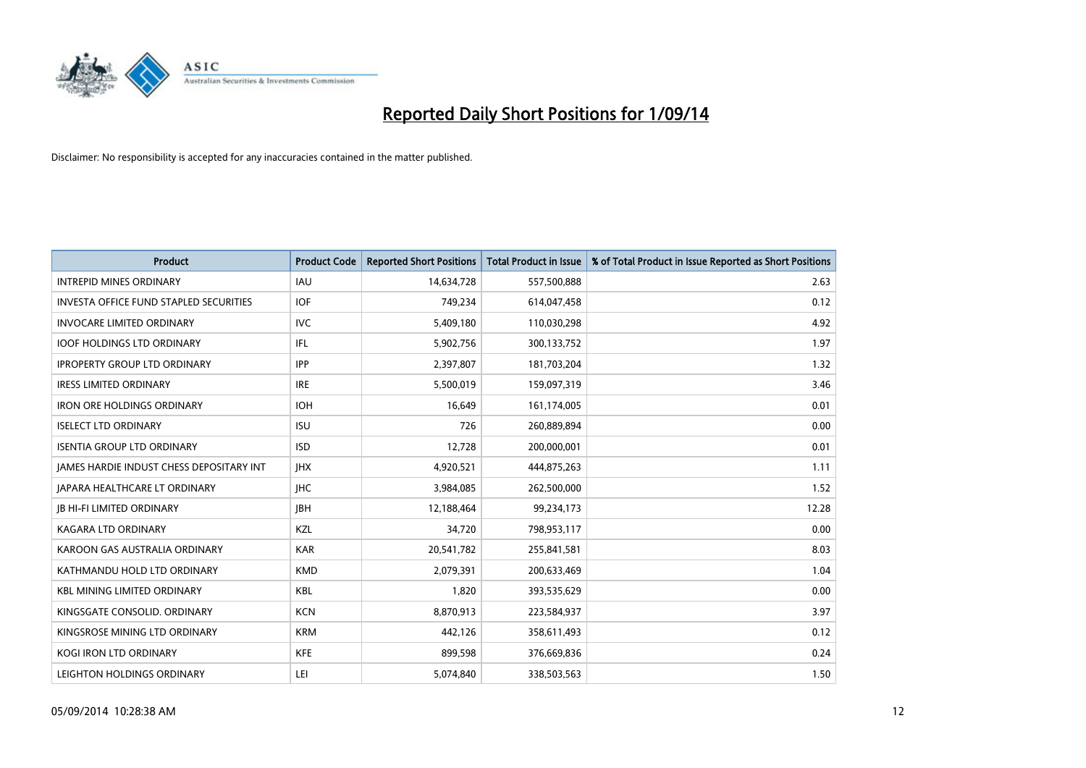

| <b>Product</b>                           | <b>Product Code</b> | <b>Reported Short Positions</b> | <b>Total Product in Issue</b> | % of Total Product in Issue Reported as Short Positions |
|------------------------------------------|---------------------|---------------------------------|-------------------------------|---------------------------------------------------------|
| <b>INTREPID MINES ORDINARY</b>           | <b>IAU</b>          | 14,634,728                      | 557,500,888                   | 2.63                                                    |
| INVESTA OFFICE FUND STAPLED SECURITIES   | <b>IOF</b>          | 749,234                         | 614,047,458                   | 0.12                                                    |
| <b>INVOCARE LIMITED ORDINARY</b>         | <b>IVC</b>          | 5,409,180                       | 110,030,298                   | 4.92                                                    |
| <b>IOOF HOLDINGS LTD ORDINARY</b>        | IFL                 | 5,902,756                       | 300,133,752                   | 1.97                                                    |
| <b>IPROPERTY GROUP LTD ORDINARY</b>      | <b>IPP</b>          | 2,397,807                       | 181,703,204                   | 1.32                                                    |
| <b>IRESS LIMITED ORDINARY</b>            | <b>IRE</b>          | 5,500,019                       | 159,097,319                   | 3.46                                                    |
| <b>IRON ORE HOLDINGS ORDINARY</b>        | <b>IOH</b>          | 16,649                          | 161,174,005                   | 0.01                                                    |
| <b>ISELECT LTD ORDINARY</b>              | <b>ISU</b>          | 726                             | 260,889,894                   | 0.00                                                    |
| <b>ISENTIA GROUP LTD ORDINARY</b>        | <b>ISD</b>          | 12,728                          | 200,000,001                   | 0.01                                                    |
| JAMES HARDIE INDUST CHESS DEPOSITARY INT | <b>IHX</b>          | 4,920,521                       | 444,875,263                   | 1.11                                                    |
| <b>JAPARA HEALTHCARE LT ORDINARY</b>     | <b>IHC</b>          | 3,984,085                       | 262,500,000                   | 1.52                                                    |
| <b>JB HI-FI LIMITED ORDINARY</b>         | <b>IBH</b>          | 12,188,464                      | 99,234,173                    | 12.28                                                   |
| <b>KAGARA LTD ORDINARY</b>               | KZL                 | 34,720                          | 798,953,117                   | 0.00                                                    |
| KAROON GAS AUSTRALIA ORDINARY            | <b>KAR</b>          | 20,541,782                      | 255,841,581                   | 8.03                                                    |
| KATHMANDU HOLD LTD ORDINARY              | <b>KMD</b>          | 2,079,391                       | 200,633,469                   | 1.04                                                    |
| <b>KBL MINING LIMITED ORDINARY</b>       | <b>KBL</b>          | 1,820                           | 393,535,629                   | 0.00                                                    |
| KINGSGATE CONSOLID. ORDINARY             | <b>KCN</b>          | 8,870,913                       | 223,584,937                   | 3.97                                                    |
| KINGSROSE MINING LTD ORDINARY            | <b>KRM</b>          | 442,126                         | 358,611,493                   | 0.12                                                    |
| <b>KOGI IRON LTD ORDINARY</b>            | <b>KFE</b>          | 899,598                         | 376,669,836                   | 0.24                                                    |
| LEIGHTON HOLDINGS ORDINARY               | LEI                 | 5,074,840                       | 338,503,563                   | 1.50                                                    |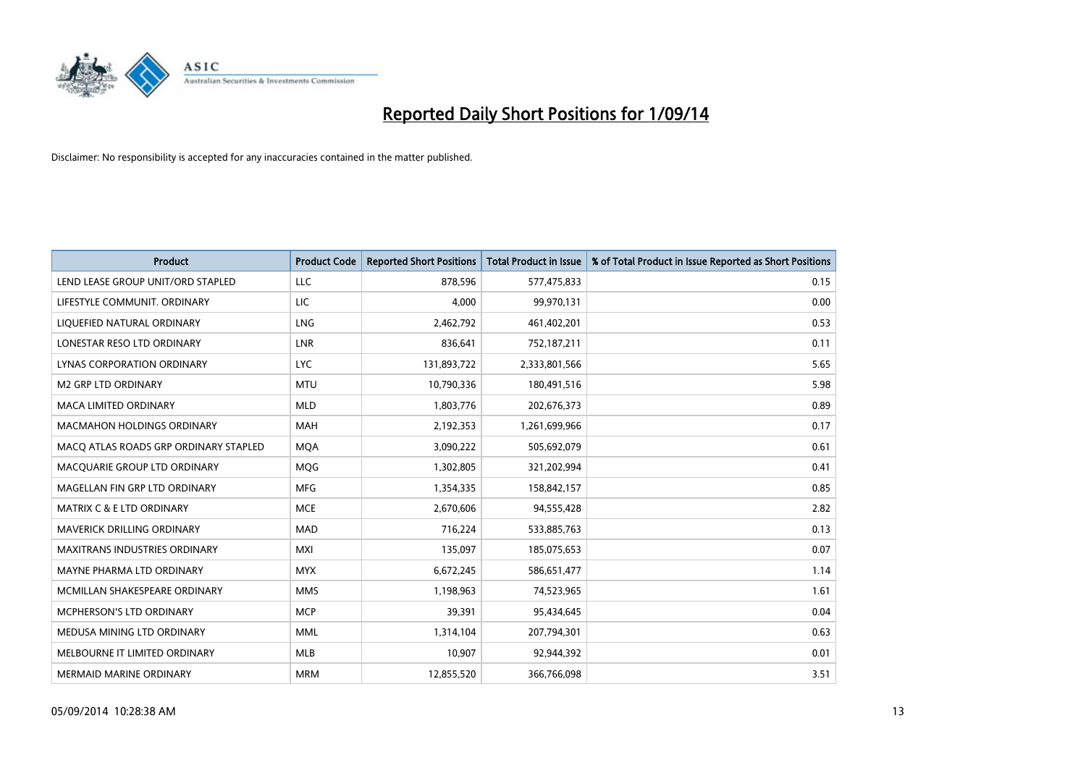

| <b>Product</b>                        | <b>Product Code</b> | <b>Reported Short Positions</b> | <b>Total Product in Issue</b> | % of Total Product in Issue Reported as Short Positions |
|---------------------------------------|---------------------|---------------------------------|-------------------------------|---------------------------------------------------------|
| LEND LEASE GROUP UNIT/ORD STAPLED     | LLC                 | 878,596                         | 577,475,833                   | 0.15                                                    |
| LIFESTYLE COMMUNIT. ORDINARY          | LIC                 | 4,000                           | 99,970,131                    | 0.00                                                    |
| LIQUEFIED NATURAL ORDINARY            | <b>LNG</b>          | 2,462,792                       | 461,402,201                   | 0.53                                                    |
| LONESTAR RESO LTD ORDINARY            | <b>LNR</b>          | 836,641                         | 752,187,211                   | 0.11                                                    |
| <b>LYNAS CORPORATION ORDINARY</b>     | <b>LYC</b>          | 131,893,722                     | 2,333,801,566                 | 5.65                                                    |
| <b>M2 GRP LTD ORDINARY</b>            | <b>MTU</b>          | 10,790,336                      | 180,491,516                   | 5.98                                                    |
| MACA LIMITED ORDINARY                 | <b>MLD</b>          | 1,803,776                       | 202,676,373                   | 0.89                                                    |
| MACMAHON HOLDINGS ORDINARY            | MAH                 | 2,192,353                       | 1,261,699,966                 | 0.17                                                    |
| MACO ATLAS ROADS GRP ORDINARY STAPLED | <b>MOA</b>          | 3,090,222                       | 505,692,079                   | 0.61                                                    |
| MACQUARIE GROUP LTD ORDINARY          | <b>MQG</b>          | 1,302,805                       | 321,202,994                   | 0.41                                                    |
| MAGELLAN FIN GRP LTD ORDINARY         | <b>MFG</b>          | 1,354,335                       | 158,842,157                   | 0.85                                                    |
| <b>MATRIX C &amp; E LTD ORDINARY</b>  | <b>MCE</b>          | 2,670,606                       | 94,555,428                    | 2.82                                                    |
| MAVERICK DRILLING ORDINARY            | <b>MAD</b>          | 716,224                         | 533,885,763                   | 0.13                                                    |
| <b>MAXITRANS INDUSTRIES ORDINARY</b>  | <b>MXI</b>          | 135,097                         | 185,075,653                   | 0.07                                                    |
| MAYNE PHARMA LTD ORDINARY             | <b>MYX</b>          | 6,672,245                       | 586,651,477                   | 1.14                                                    |
| MCMILLAN SHAKESPEARE ORDINARY         | <b>MMS</b>          | 1,198,963                       | 74,523,965                    | 1.61                                                    |
| MCPHERSON'S LTD ORDINARY              | <b>MCP</b>          | 39,391                          | 95,434,645                    | 0.04                                                    |
| MEDUSA MINING LTD ORDINARY            | <b>MML</b>          | 1,314,104                       | 207,794,301                   | 0.63                                                    |
| MELBOURNE IT LIMITED ORDINARY         | <b>MLB</b>          | 10,907                          | 92,944,392                    | 0.01                                                    |
| <b>MERMAID MARINE ORDINARY</b>        | <b>MRM</b>          | 12,855,520                      | 366,766,098                   | 3.51                                                    |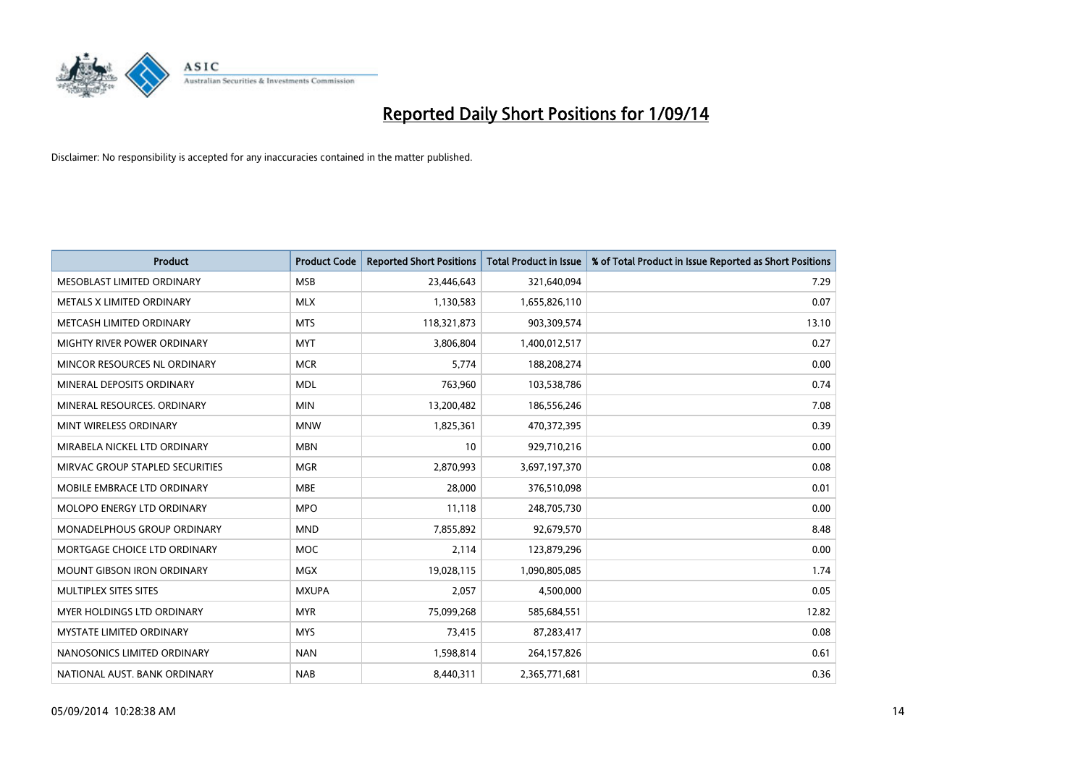

| <b>Product</b>                    | <b>Product Code</b> | <b>Reported Short Positions</b> | <b>Total Product in Issue</b> | % of Total Product in Issue Reported as Short Positions |
|-----------------------------------|---------------------|---------------------------------|-------------------------------|---------------------------------------------------------|
| MESOBLAST LIMITED ORDINARY        | <b>MSB</b>          | 23,446,643                      | 321,640,094                   | 7.29                                                    |
| METALS X LIMITED ORDINARY         | <b>MLX</b>          | 1,130,583                       | 1,655,826,110                 | 0.07                                                    |
| METCASH LIMITED ORDINARY          | <b>MTS</b>          | 118,321,873                     | 903,309,574                   | 13.10                                                   |
| MIGHTY RIVER POWER ORDINARY       | <b>MYT</b>          | 3,806,804                       | 1,400,012,517                 | 0.27                                                    |
| MINCOR RESOURCES NL ORDINARY      | <b>MCR</b>          | 5,774                           | 188,208,274                   | 0.00                                                    |
| MINERAL DEPOSITS ORDINARY         | <b>MDL</b>          | 763,960                         | 103,538,786                   | 0.74                                                    |
| MINERAL RESOURCES, ORDINARY       | <b>MIN</b>          | 13,200,482                      | 186,556,246                   | 7.08                                                    |
| MINT WIRELESS ORDINARY            | <b>MNW</b>          | 1,825,361                       | 470,372,395                   | 0.39                                                    |
| MIRABELA NICKEL LTD ORDINARY      | <b>MBN</b>          | 10                              | 929,710,216                   | 0.00                                                    |
| MIRVAC GROUP STAPLED SECURITIES   | <b>MGR</b>          | 2,870,993                       | 3,697,197,370                 | 0.08                                                    |
| MOBILE EMBRACE LTD ORDINARY       | <b>MBE</b>          | 28,000                          | 376,510,098                   | 0.01                                                    |
| <b>MOLOPO ENERGY LTD ORDINARY</b> | <b>MPO</b>          | 11,118                          | 248,705,730                   | 0.00                                                    |
| MONADELPHOUS GROUP ORDINARY       | <b>MND</b>          | 7,855,892                       | 92,679,570                    | 8.48                                                    |
| MORTGAGE CHOICE LTD ORDINARY      | <b>MOC</b>          | 2,114                           | 123,879,296                   | 0.00                                                    |
| <b>MOUNT GIBSON IRON ORDINARY</b> | <b>MGX</b>          | 19,028,115                      | 1,090,805,085                 | 1.74                                                    |
| MULTIPLEX SITES SITES             | <b>MXUPA</b>        | 2,057                           | 4,500,000                     | 0.05                                                    |
| MYER HOLDINGS LTD ORDINARY        | <b>MYR</b>          | 75,099,268                      | 585,684,551                   | 12.82                                                   |
| <b>MYSTATE LIMITED ORDINARY</b>   | <b>MYS</b>          | 73,415                          | 87,283,417                    | 0.08                                                    |
| NANOSONICS LIMITED ORDINARY       | <b>NAN</b>          | 1,598,814                       | 264,157,826                   | 0.61                                                    |
| NATIONAL AUST. BANK ORDINARY      | <b>NAB</b>          | 8,440,311                       | 2,365,771,681                 | 0.36                                                    |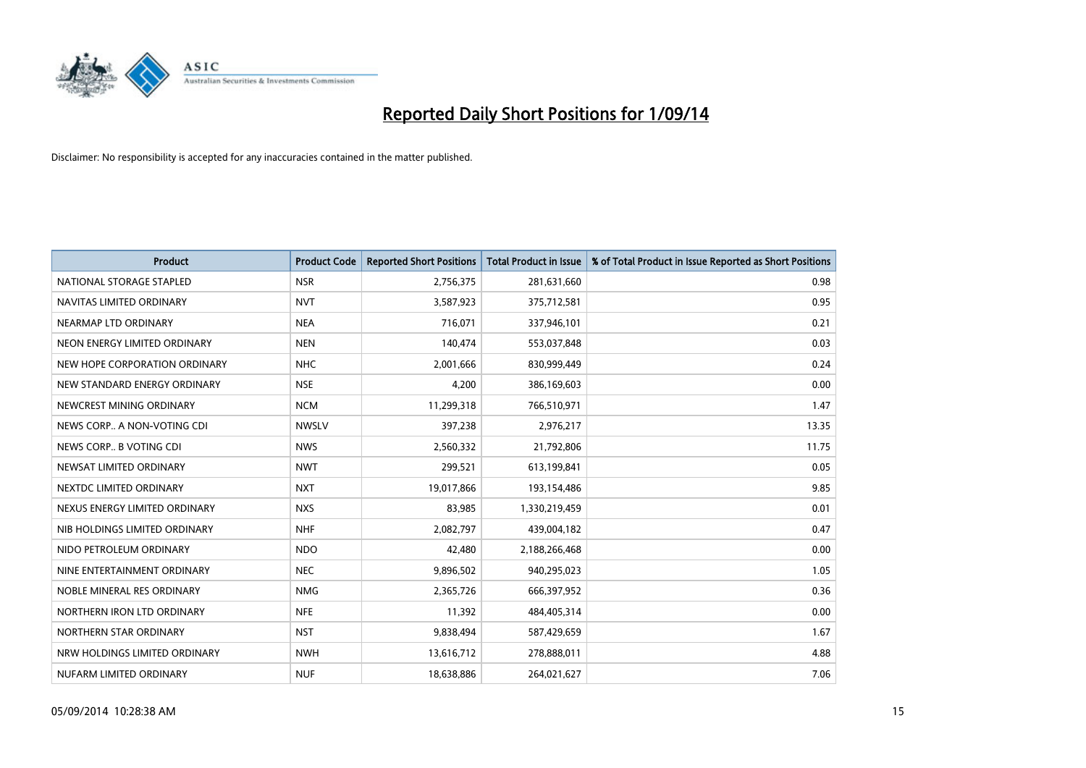

| <b>Product</b>                | <b>Product Code</b> | <b>Reported Short Positions</b> | <b>Total Product in Issue</b> | % of Total Product in Issue Reported as Short Positions |
|-------------------------------|---------------------|---------------------------------|-------------------------------|---------------------------------------------------------|
| NATIONAL STORAGE STAPLED      | <b>NSR</b>          | 2,756,375                       | 281,631,660                   | 0.98                                                    |
| NAVITAS LIMITED ORDINARY      | <b>NVT</b>          | 3,587,923                       | 375,712,581                   | 0.95                                                    |
| NEARMAP LTD ORDINARY          | <b>NEA</b>          | 716,071                         | 337,946,101                   | 0.21                                                    |
| NEON ENERGY LIMITED ORDINARY  | <b>NEN</b>          | 140,474                         | 553,037,848                   | 0.03                                                    |
| NEW HOPE CORPORATION ORDINARY | <b>NHC</b>          | 2,001,666                       | 830,999,449                   | 0.24                                                    |
| NEW STANDARD ENERGY ORDINARY  | <b>NSE</b>          | 4,200                           | 386,169,603                   | 0.00                                                    |
| NEWCREST MINING ORDINARY      | <b>NCM</b>          | 11,299,318                      | 766,510,971                   | 1.47                                                    |
| NEWS CORP A NON-VOTING CDI    | <b>NWSLV</b>        | 397,238                         | 2,976,217                     | 13.35                                                   |
| NEWS CORP B VOTING CDI        | <b>NWS</b>          | 2,560,332                       | 21,792,806                    | 11.75                                                   |
| NEWSAT LIMITED ORDINARY       | <b>NWT</b>          | 299,521                         | 613,199,841                   | 0.05                                                    |
| NEXTDC LIMITED ORDINARY       | <b>NXT</b>          | 19,017,866                      | 193,154,486                   | 9.85                                                    |
| NEXUS ENERGY LIMITED ORDINARY | <b>NXS</b>          | 83,985                          | 1,330,219,459                 | 0.01                                                    |
| NIB HOLDINGS LIMITED ORDINARY | <b>NHF</b>          | 2,082,797                       | 439,004,182                   | 0.47                                                    |
| NIDO PETROLEUM ORDINARY       | <b>NDO</b>          | 42,480                          | 2,188,266,468                 | 0.00                                                    |
| NINE ENTERTAINMENT ORDINARY   | <b>NEC</b>          | 9,896,502                       | 940,295,023                   | 1.05                                                    |
| NOBLE MINERAL RES ORDINARY    | <b>NMG</b>          | 2,365,726                       | 666,397,952                   | 0.36                                                    |
| NORTHERN IRON LTD ORDINARY    | <b>NFE</b>          | 11,392                          | 484,405,314                   | 0.00                                                    |
| NORTHERN STAR ORDINARY        | <b>NST</b>          | 9,838,494                       | 587,429,659                   | 1.67                                                    |
| NRW HOLDINGS LIMITED ORDINARY | <b>NWH</b>          | 13,616,712                      | 278,888,011                   | 4.88                                                    |
| NUFARM LIMITED ORDINARY       | <b>NUF</b>          | 18,638,886                      | 264,021,627                   | 7.06                                                    |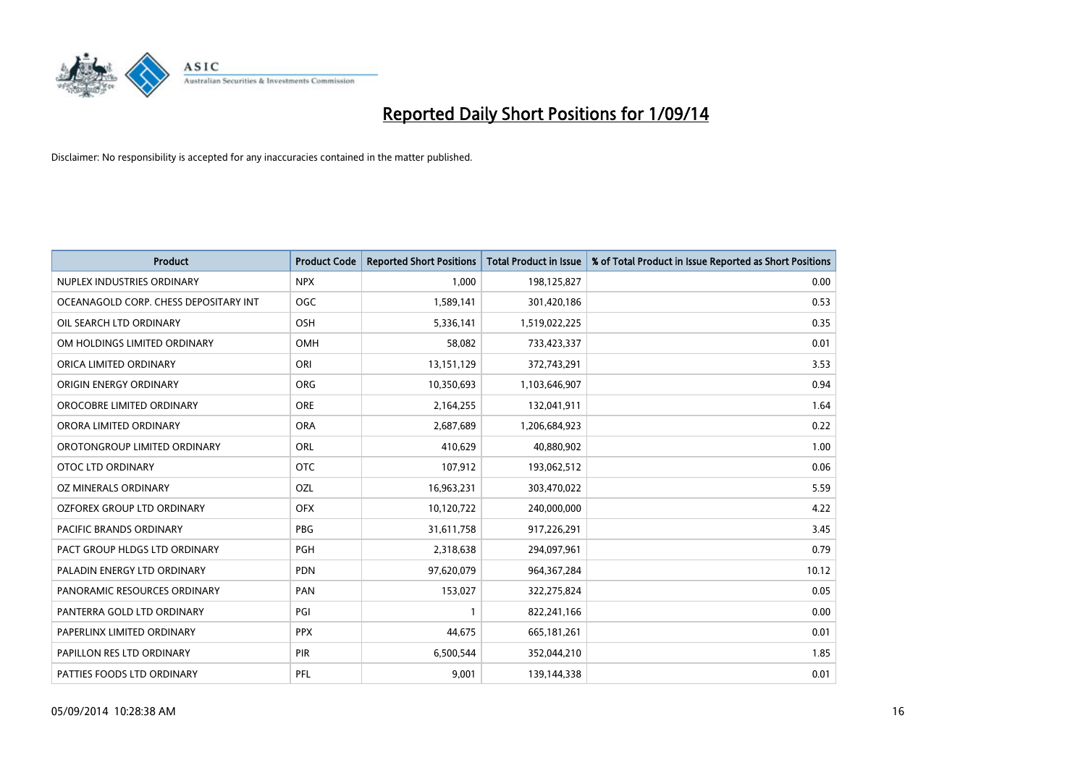

| <b>Product</b>                        | <b>Product Code</b> | <b>Reported Short Positions</b> | <b>Total Product in Issue</b> | % of Total Product in Issue Reported as Short Positions |
|---------------------------------------|---------------------|---------------------------------|-------------------------------|---------------------------------------------------------|
| NUPLEX INDUSTRIES ORDINARY            | <b>NPX</b>          | 1,000                           | 198,125,827                   | 0.00                                                    |
| OCEANAGOLD CORP. CHESS DEPOSITARY INT | <b>OGC</b>          | 1,589,141                       | 301,420,186                   | 0.53                                                    |
| OIL SEARCH LTD ORDINARY               | OSH                 | 5,336,141                       | 1,519,022,225                 | 0.35                                                    |
| OM HOLDINGS LIMITED ORDINARY          | <b>OMH</b>          | 58,082                          | 733,423,337                   | 0.01                                                    |
| ORICA LIMITED ORDINARY                | ORI                 | 13,151,129                      | 372,743,291                   | 3.53                                                    |
| ORIGIN ENERGY ORDINARY                | <b>ORG</b>          | 10,350,693                      | 1,103,646,907                 | 0.94                                                    |
| OROCOBRE LIMITED ORDINARY             | <b>ORE</b>          | 2,164,255                       | 132,041,911                   | 1.64                                                    |
| ORORA LIMITED ORDINARY                | <b>ORA</b>          | 2,687,689                       | 1,206,684,923                 | 0.22                                                    |
| OROTONGROUP LIMITED ORDINARY          | ORL                 | 410,629                         | 40,880,902                    | 1.00                                                    |
| OTOC LTD ORDINARY                     | <b>OTC</b>          | 107,912                         | 193,062,512                   | 0.06                                                    |
| OZ MINERALS ORDINARY                  | OZL                 | 16,963,231                      | 303,470,022                   | 5.59                                                    |
| <b>OZFOREX GROUP LTD ORDINARY</b>     | <b>OFX</b>          | 10,120,722                      | 240,000,000                   | 4.22                                                    |
| PACIFIC BRANDS ORDINARY               | PBG                 | 31,611,758                      | 917,226,291                   | 3.45                                                    |
| PACT GROUP HLDGS LTD ORDINARY         | PGH                 | 2,318,638                       | 294,097,961                   | 0.79                                                    |
| PALADIN ENERGY LTD ORDINARY           | <b>PDN</b>          | 97,620,079                      | 964, 367, 284                 | 10.12                                                   |
| PANORAMIC RESOURCES ORDINARY          | PAN                 | 153,027                         | 322,275,824                   | 0.05                                                    |
| PANTERRA GOLD LTD ORDINARY            | PGI                 | $\mathbf{1}$                    | 822,241,166                   | 0.00                                                    |
| PAPERLINX LIMITED ORDINARY            | <b>PPX</b>          | 44,675                          | 665,181,261                   | 0.01                                                    |
| PAPILLON RES LTD ORDINARY             | PIR                 | 6,500,544                       | 352,044,210                   | 1.85                                                    |
| PATTIES FOODS LTD ORDINARY            | PFL                 | 9,001                           | 139,144,338                   | 0.01                                                    |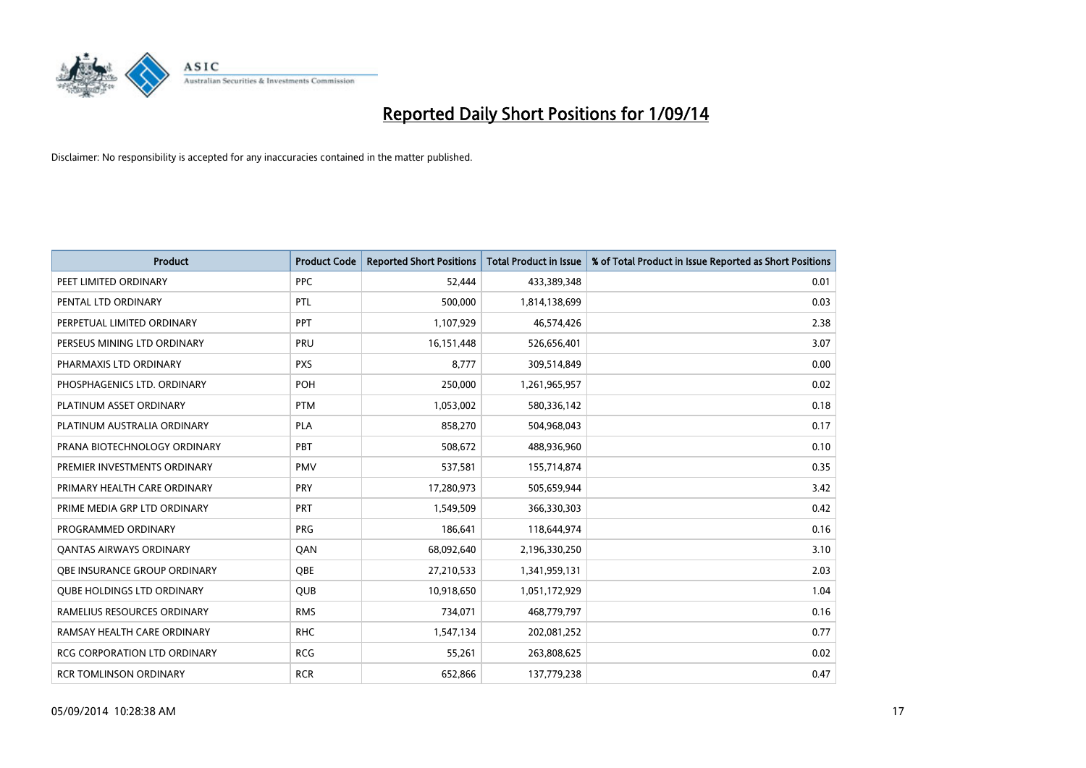

| <b>Product</b>                      | <b>Product Code</b> | <b>Reported Short Positions</b> | <b>Total Product in Issue</b> | % of Total Product in Issue Reported as Short Positions |
|-------------------------------------|---------------------|---------------------------------|-------------------------------|---------------------------------------------------------|
| PEET LIMITED ORDINARY               | <b>PPC</b>          | 52,444                          | 433,389,348                   | 0.01                                                    |
| PENTAL LTD ORDINARY                 | <b>PTL</b>          | 500,000                         | 1,814,138,699                 | 0.03                                                    |
| PERPETUAL LIMITED ORDINARY          | <b>PPT</b>          | 1,107,929                       | 46,574,426                    | 2.38                                                    |
| PERSEUS MINING LTD ORDINARY         | PRU                 | 16,151,448                      | 526,656,401                   | 3.07                                                    |
| PHARMAXIS LTD ORDINARY              | <b>PXS</b>          | 8,777                           | 309,514,849                   | 0.00                                                    |
| PHOSPHAGENICS LTD. ORDINARY         | POH                 | 250,000                         | 1,261,965,957                 | 0.02                                                    |
| PLATINUM ASSET ORDINARY             | <b>PTM</b>          | 1,053,002                       | 580,336,142                   | 0.18                                                    |
| PLATINUM AUSTRALIA ORDINARY         | PLA                 | 858,270                         | 504,968,043                   | 0.17                                                    |
| PRANA BIOTECHNOLOGY ORDINARY        | PBT                 | 508,672                         | 488,936,960                   | 0.10                                                    |
| PREMIER INVESTMENTS ORDINARY        | <b>PMV</b>          | 537,581                         | 155,714,874                   | 0.35                                                    |
| PRIMARY HEALTH CARE ORDINARY        | <b>PRY</b>          | 17,280,973                      | 505,659,944                   | 3.42                                                    |
| PRIME MEDIA GRP LTD ORDINARY        | <b>PRT</b>          | 1,549,509                       | 366,330,303                   | 0.42                                                    |
| PROGRAMMED ORDINARY                 | <b>PRG</b>          | 186,641                         | 118,644,974                   | 0.16                                                    |
| <b>QANTAS AIRWAYS ORDINARY</b>      | QAN                 | 68,092,640                      | 2,196,330,250                 | 3.10                                                    |
| OBE INSURANCE GROUP ORDINARY        | <b>OBE</b>          | 27,210,533                      | 1,341,959,131                 | 2.03                                                    |
| <b>QUBE HOLDINGS LTD ORDINARY</b>   | QUB                 | 10,918,650                      | 1,051,172,929                 | 1.04                                                    |
| RAMELIUS RESOURCES ORDINARY         | <b>RMS</b>          | 734,071                         | 468,779,797                   | 0.16                                                    |
| RAMSAY HEALTH CARE ORDINARY         | <b>RHC</b>          | 1,547,134                       | 202,081,252                   | 0.77                                                    |
| <b>RCG CORPORATION LTD ORDINARY</b> | <b>RCG</b>          | 55,261                          | 263,808,625                   | 0.02                                                    |
| <b>RCR TOMLINSON ORDINARY</b>       | <b>RCR</b>          | 652,866                         | 137,779,238                   | 0.47                                                    |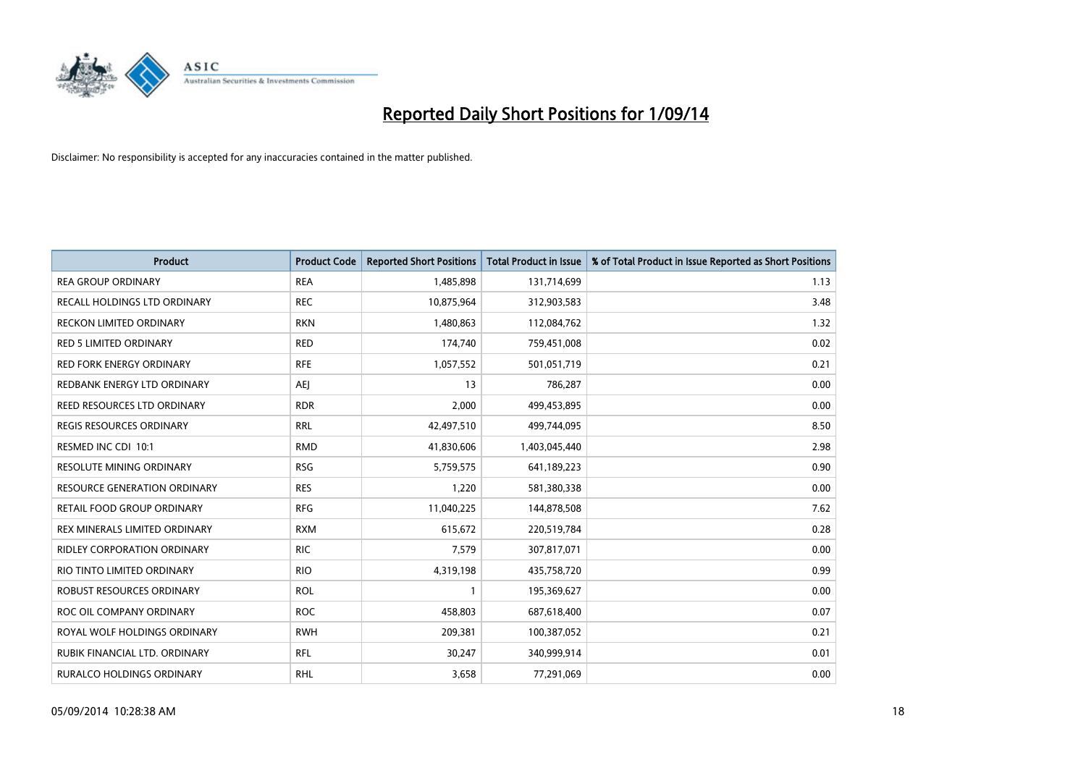

| <b>Product</b>                     | <b>Product Code</b> | <b>Reported Short Positions</b> | <b>Total Product in Issue</b> | % of Total Product in Issue Reported as Short Positions |
|------------------------------------|---------------------|---------------------------------|-------------------------------|---------------------------------------------------------|
| <b>REA GROUP ORDINARY</b>          | <b>REA</b>          | 1,485,898                       | 131,714,699                   | 1.13                                                    |
| RECALL HOLDINGS LTD ORDINARY       | <b>REC</b>          | 10,875,964                      | 312,903,583                   | 3.48                                                    |
| <b>RECKON LIMITED ORDINARY</b>     | <b>RKN</b>          | 1,480,863                       | 112,084,762                   | 1.32                                                    |
| <b>RED 5 LIMITED ORDINARY</b>      | <b>RED</b>          | 174,740                         | 759,451,008                   | 0.02                                                    |
| <b>RED FORK ENERGY ORDINARY</b>    | <b>RFE</b>          | 1,057,552                       | 501,051,719                   | 0.21                                                    |
| REDBANK ENERGY LTD ORDINARY        | <b>AEJ</b>          | 13                              | 786,287                       | 0.00                                                    |
| REED RESOURCES LTD ORDINARY        | <b>RDR</b>          | 2,000                           | 499,453,895                   | 0.00                                                    |
| REGIS RESOURCES ORDINARY           | <b>RRL</b>          | 42,497,510                      | 499,744,095                   | 8.50                                                    |
| RESMED INC CDI 10:1                | <b>RMD</b>          | 41,830,606                      | 1,403,045,440                 | 2.98                                                    |
| <b>RESOLUTE MINING ORDINARY</b>    | <b>RSG</b>          | 5,759,575                       | 641,189,223                   | 0.90                                                    |
| RESOURCE GENERATION ORDINARY       | <b>RES</b>          | 1,220                           | 581,380,338                   | 0.00                                                    |
| RETAIL FOOD GROUP ORDINARY         | <b>RFG</b>          | 11,040,225                      | 144,878,508                   | 7.62                                                    |
| REX MINERALS LIMITED ORDINARY      | <b>RXM</b>          | 615,672                         | 220,519,784                   | 0.28                                                    |
| <b>RIDLEY CORPORATION ORDINARY</b> | <b>RIC</b>          | 7,579                           | 307,817,071                   | 0.00                                                    |
| RIO TINTO LIMITED ORDINARY         | <b>RIO</b>          | 4,319,198                       | 435,758,720                   | 0.99                                                    |
| ROBUST RESOURCES ORDINARY          | <b>ROL</b>          | 1                               | 195,369,627                   | 0.00                                                    |
| ROC OIL COMPANY ORDINARY           | <b>ROC</b>          | 458,803                         | 687,618,400                   | 0.07                                                    |
| ROYAL WOLF HOLDINGS ORDINARY       | <b>RWH</b>          | 209,381                         | 100,387,052                   | 0.21                                                    |
| RUBIK FINANCIAL LTD, ORDINARY      | <b>RFL</b>          | 30,247                          | 340,999,914                   | 0.01                                                    |
| <b>RURALCO HOLDINGS ORDINARY</b>   | <b>RHL</b>          | 3,658                           | 77,291,069                    | 0.00                                                    |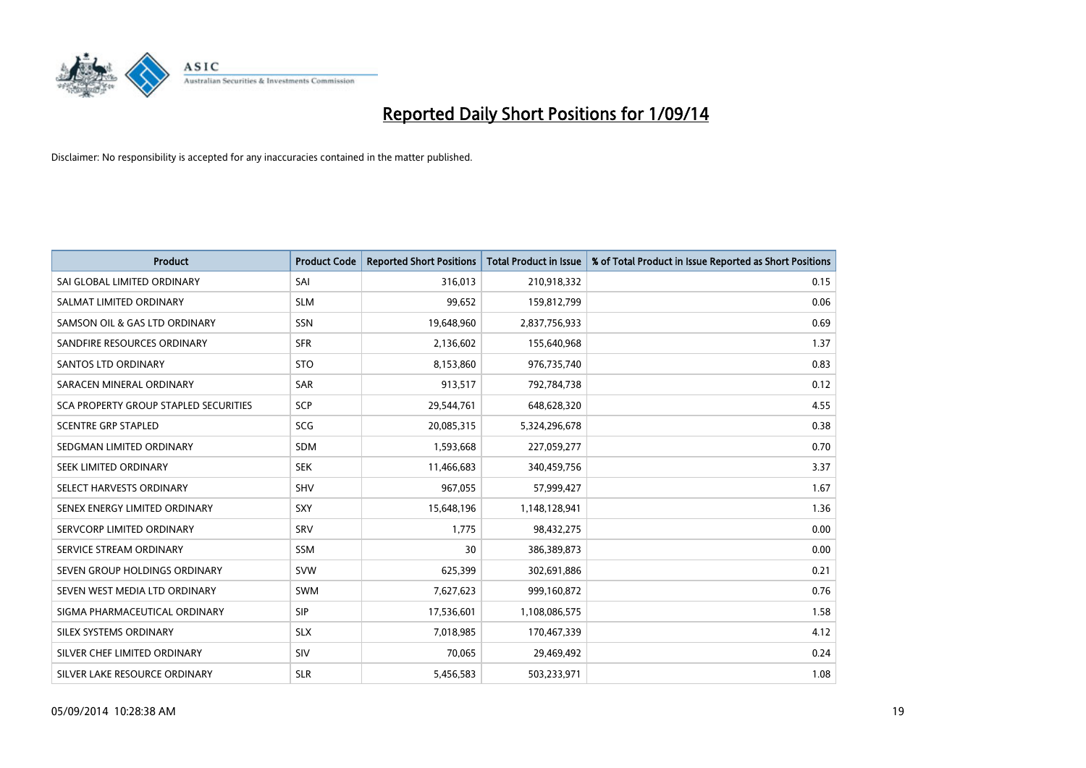

| <b>Product</b>                        | <b>Product Code</b> | <b>Reported Short Positions</b> | <b>Total Product in Issue</b> | % of Total Product in Issue Reported as Short Positions |
|---------------------------------------|---------------------|---------------------------------|-------------------------------|---------------------------------------------------------|
| SAI GLOBAL LIMITED ORDINARY           | SAI                 | 316,013                         | 210,918,332                   | 0.15                                                    |
| SALMAT LIMITED ORDINARY               | <b>SLM</b>          | 99,652                          | 159,812,799                   | 0.06                                                    |
| SAMSON OIL & GAS LTD ORDINARY         | <b>SSN</b>          | 19,648,960                      | 2,837,756,933                 | 0.69                                                    |
| SANDFIRE RESOURCES ORDINARY           | <b>SFR</b>          | 2,136,602                       | 155,640,968                   | 1.37                                                    |
| <b>SANTOS LTD ORDINARY</b>            | <b>STO</b>          | 8,153,860                       | 976,735,740                   | 0.83                                                    |
| SARACEN MINERAL ORDINARY              | <b>SAR</b>          | 913,517                         | 792,784,738                   | 0.12                                                    |
| SCA PROPERTY GROUP STAPLED SECURITIES | <b>SCP</b>          | 29,544,761                      | 648,628,320                   | 4.55                                                    |
| <b>SCENTRE GRP STAPLED</b>            | SCG                 | 20,085,315                      | 5,324,296,678                 | 0.38                                                    |
| SEDGMAN LIMITED ORDINARY              | <b>SDM</b>          | 1,593,668                       | 227,059,277                   | 0.70                                                    |
| SEEK LIMITED ORDINARY                 | <b>SEK</b>          | 11,466,683                      | 340,459,756                   | 3.37                                                    |
| SELECT HARVESTS ORDINARY              | <b>SHV</b>          | 967,055                         | 57,999,427                    | 1.67                                                    |
| SENEX ENERGY LIMITED ORDINARY         | SXY                 | 15,648,196                      | 1,148,128,941                 | 1.36                                                    |
| SERVCORP LIMITED ORDINARY             | SRV                 | 1.775                           | 98,432,275                    | 0.00                                                    |
| SERVICE STREAM ORDINARY               | SSM                 | 30                              | 386,389,873                   | 0.00                                                    |
| SEVEN GROUP HOLDINGS ORDINARY         | <b>SVW</b>          | 625,399                         | 302,691,886                   | 0.21                                                    |
| SEVEN WEST MEDIA LTD ORDINARY         | <b>SWM</b>          | 7,627,623                       | 999,160,872                   | 0.76                                                    |
| SIGMA PHARMACEUTICAL ORDINARY         | <b>SIP</b>          | 17,536,601                      | 1,108,086,575                 | 1.58                                                    |
| SILEX SYSTEMS ORDINARY                | <b>SLX</b>          | 7,018,985                       | 170,467,339                   | 4.12                                                    |
| SILVER CHEF LIMITED ORDINARY          | <b>SIV</b>          | 70,065                          | 29,469,492                    | 0.24                                                    |
| SILVER LAKE RESOURCE ORDINARY         | <b>SLR</b>          | 5,456,583                       | 503,233,971                   | 1.08                                                    |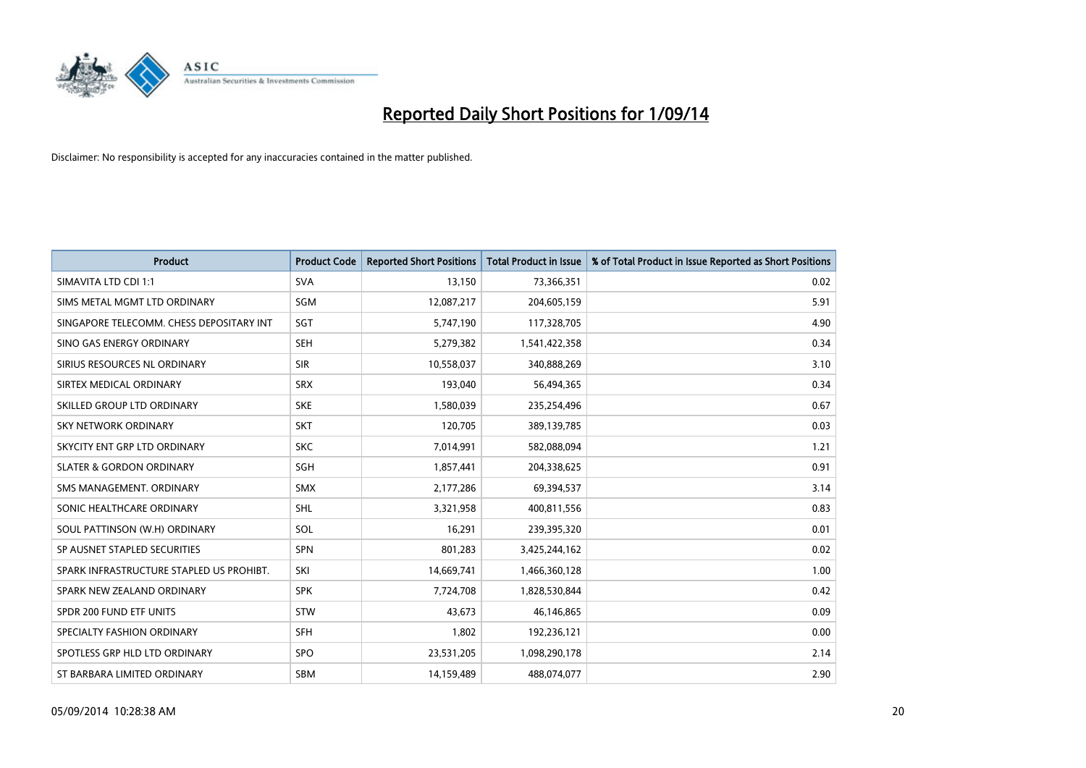

| <b>Product</b>                           | <b>Product Code</b> | <b>Reported Short Positions</b> | <b>Total Product in Issue</b> | % of Total Product in Issue Reported as Short Positions |
|------------------------------------------|---------------------|---------------------------------|-------------------------------|---------------------------------------------------------|
| SIMAVITA LTD CDI 1:1                     | <b>SVA</b>          | 13,150                          | 73,366,351                    | 0.02                                                    |
| SIMS METAL MGMT LTD ORDINARY             | <b>SGM</b>          | 12,087,217                      | 204,605,159                   | 5.91                                                    |
| SINGAPORE TELECOMM. CHESS DEPOSITARY INT | SGT                 | 5,747,190                       | 117,328,705                   | 4.90                                                    |
| SINO GAS ENERGY ORDINARY                 | <b>SEH</b>          | 5,279,382                       | 1,541,422,358                 | 0.34                                                    |
| SIRIUS RESOURCES NL ORDINARY             | <b>SIR</b>          | 10,558,037                      | 340,888,269                   | 3.10                                                    |
| SIRTEX MEDICAL ORDINARY                  | <b>SRX</b>          | 193,040                         | 56,494,365                    | 0.34                                                    |
| SKILLED GROUP LTD ORDINARY               | <b>SKE</b>          | 1,580,039                       | 235,254,496                   | 0.67                                                    |
| SKY NETWORK ORDINARY                     | <b>SKT</b>          | 120,705                         | 389,139,785                   | 0.03                                                    |
| SKYCITY ENT GRP LTD ORDINARY             | <b>SKC</b>          | 7,014,991                       | 582,088,094                   | 1.21                                                    |
| <b>SLATER &amp; GORDON ORDINARY</b>      | SGH                 | 1,857,441                       | 204,338,625                   | 0.91                                                    |
| SMS MANAGEMENT. ORDINARY                 | SMX                 | 2,177,286                       | 69,394,537                    | 3.14                                                    |
| SONIC HEALTHCARE ORDINARY                | <b>SHL</b>          | 3,321,958                       | 400,811,556                   | 0.83                                                    |
| SOUL PATTINSON (W.H) ORDINARY            | SOL                 | 16,291                          | 239,395,320                   | 0.01                                                    |
| SP AUSNET STAPLED SECURITIES             | SPN                 | 801,283                         | 3,425,244,162                 | 0.02                                                    |
| SPARK INFRASTRUCTURE STAPLED US PROHIBT. | SKI                 | 14,669,741                      | 1,466,360,128                 | 1.00                                                    |
| SPARK NEW ZEALAND ORDINARY               | <b>SPK</b>          | 7,724,708                       | 1,828,530,844                 | 0.42                                                    |
| SPDR 200 FUND ETF UNITS                  | <b>STW</b>          | 43,673                          | 46,146,865                    | 0.09                                                    |
| SPECIALTY FASHION ORDINARY               | <b>SFH</b>          | 1,802                           | 192,236,121                   | 0.00                                                    |
| SPOTLESS GRP HLD LTD ORDINARY            | <b>SPO</b>          | 23,531,205                      | 1,098,290,178                 | 2.14                                                    |
| ST BARBARA LIMITED ORDINARY              | <b>SBM</b>          | 14,159,489                      | 488,074,077                   | 2.90                                                    |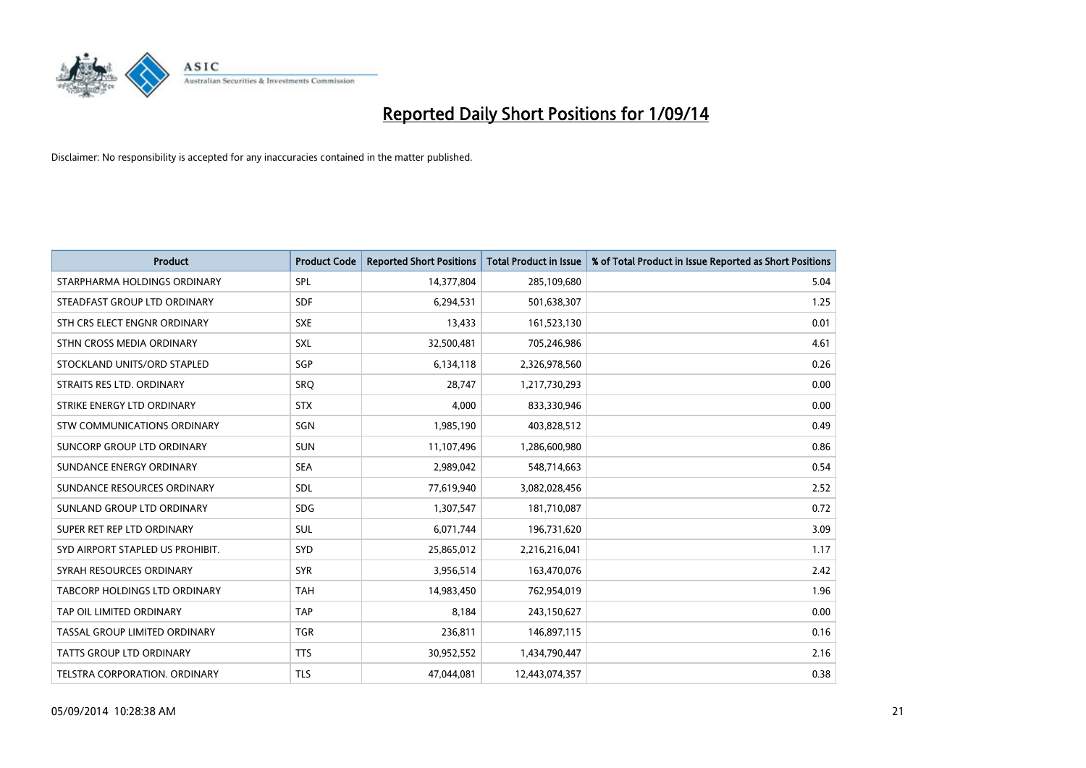

| <b>Product</b>                   | <b>Product Code</b> | <b>Reported Short Positions</b> | <b>Total Product in Issue</b> | % of Total Product in Issue Reported as Short Positions |
|----------------------------------|---------------------|---------------------------------|-------------------------------|---------------------------------------------------------|
| STARPHARMA HOLDINGS ORDINARY     | SPL                 | 14,377,804                      | 285,109,680                   | 5.04                                                    |
| STEADFAST GROUP LTD ORDINARY     | <b>SDF</b>          | 6,294,531                       | 501,638,307                   | 1.25                                                    |
| STH CRS ELECT ENGNR ORDINARY     | <b>SXE</b>          | 13,433                          | 161,523,130                   | 0.01                                                    |
| STHN CROSS MEDIA ORDINARY        | SXL                 | 32,500,481                      | 705,246,986                   | 4.61                                                    |
| STOCKLAND UNITS/ORD STAPLED      | SGP                 | 6,134,118                       | 2,326,978,560                 | 0.26                                                    |
| STRAITS RES LTD. ORDINARY        | SRQ                 | 28,747                          | 1,217,730,293                 | 0.00                                                    |
| STRIKE ENERGY LTD ORDINARY       | <b>STX</b>          | 4.000                           | 833,330,946                   | 0.00                                                    |
| STW COMMUNICATIONS ORDINARY      | SGN                 | 1,985,190                       | 403,828,512                   | 0.49                                                    |
| SUNCORP GROUP LTD ORDINARY       | <b>SUN</b>          | 11,107,496                      | 1,286,600,980                 | 0.86                                                    |
| SUNDANCE ENERGY ORDINARY         | <b>SEA</b>          | 2,989,042                       | 548,714,663                   | 0.54                                                    |
| SUNDANCE RESOURCES ORDINARY      | SDL                 | 77,619,940                      | 3,082,028,456                 | 2.52                                                    |
| SUNLAND GROUP LTD ORDINARY       | <b>SDG</b>          | 1,307,547                       | 181,710,087                   | 0.72                                                    |
| SUPER RET REP LTD ORDINARY       | <b>SUL</b>          | 6,071,744                       | 196,731,620                   | 3.09                                                    |
| SYD AIRPORT STAPLED US PROHIBIT. | SYD                 | 25,865,012                      | 2,216,216,041                 | 1.17                                                    |
| SYRAH RESOURCES ORDINARY         | <b>SYR</b>          | 3,956,514                       | 163,470,076                   | 2.42                                                    |
| TABCORP HOLDINGS LTD ORDINARY    | <b>TAH</b>          | 14,983,450                      | 762,954,019                   | 1.96                                                    |
| TAP OIL LIMITED ORDINARY         | <b>TAP</b>          | 8,184                           | 243,150,627                   | 0.00                                                    |
| TASSAL GROUP LIMITED ORDINARY    | <b>TGR</b>          | 236,811                         | 146,897,115                   | 0.16                                                    |
| <b>TATTS GROUP LTD ORDINARY</b>  | <b>TTS</b>          | 30,952,552                      | 1,434,790,447                 | 2.16                                                    |
| TELSTRA CORPORATION, ORDINARY    | <b>TLS</b>          | 47.044.081                      | 12,443,074,357                | 0.38                                                    |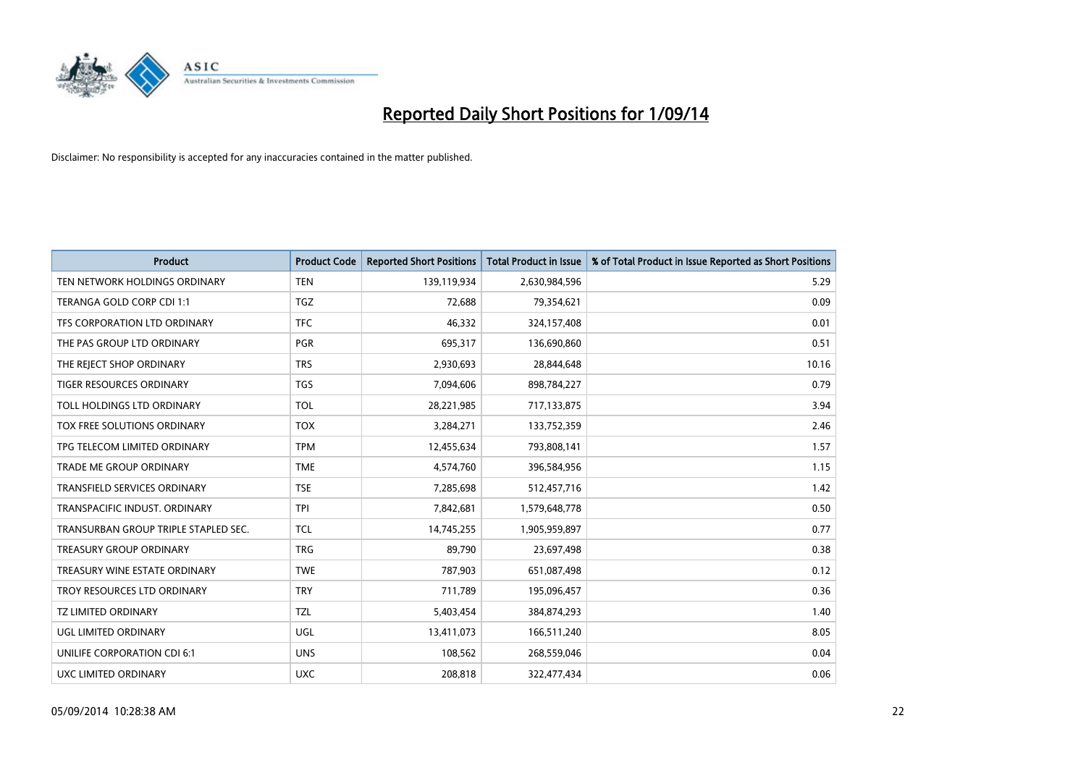

| <b>Product</b>                       | <b>Product Code</b> | <b>Reported Short Positions</b> | <b>Total Product in Issue</b> | % of Total Product in Issue Reported as Short Positions |
|--------------------------------------|---------------------|---------------------------------|-------------------------------|---------------------------------------------------------|
| TEN NETWORK HOLDINGS ORDINARY        | <b>TEN</b>          | 139,119,934                     | 2,630,984,596                 | 5.29                                                    |
| TERANGA GOLD CORP CDI 1:1            | TGZ                 | 72,688                          | 79,354,621                    | 0.09                                                    |
| TFS CORPORATION LTD ORDINARY         | <b>TFC</b>          | 46,332                          | 324,157,408                   | 0.01                                                    |
| THE PAS GROUP LTD ORDINARY           | <b>PGR</b>          | 695,317                         | 136,690,860                   | 0.51                                                    |
| THE REJECT SHOP ORDINARY             | <b>TRS</b>          | 2,930,693                       | 28,844,648                    | 10.16                                                   |
| <b>TIGER RESOURCES ORDINARY</b>      | <b>TGS</b>          | 7,094,606                       | 898,784,227                   | 0.79                                                    |
| TOLL HOLDINGS LTD ORDINARY           | <b>TOL</b>          | 28,221,985                      | 717,133,875                   | 3.94                                                    |
| TOX FREE SOLUTIONS ORDINARY          | <b>TOX</b>          | 3,284,271                       | 133,752,359                   | 2.46                                                    |
| TPG TELECOM LIMITED ORDINARY         | <b>TPM</b>          | 12,455,634                      | 793,808,141                   | 1.57                                                    |
| <b>TRADE ME GROUP ORDINARY</b>       | <b>TME</b>          | 4,574,760                       | 396,584,956                   | 1.15                                                    |
| TRANSFIELD SERVICES ORDINARY         | <b>TSE</b>          | 7,285,698                       | 512,457,716                   | 1.42                                                    |
| TRANSPACIFIC INDUST, ORDINARY        | <b>TPI</b>          | 7,842,681                       | 1,579,648,778                 | 0.50                                                    |
| TRANSURBAN GROUP TRIPLE STAPLED SEC. | TCL                 | 14,745,255                      | 1,905,959,897                 | 0.77                                                    |
| <b>TREASURY GROUP ORDINARY</b>       | <b>TRG</b>          | 89,790                          | 23,697,498                    | 0.38                                                    |
| TREASURY WINE ESTATE ORDINARY        | <b>TWE</b>          | 787,903                         | 651,087,498                   | 0.12                                                    |
| TROY RESOURCES LTD ORDINARY          | <b>TRY</b>          | 711,789                         | 195,096,457                   | 0.36                                                    |
| TZ LIMITED ORDINARY                  | <b>TZL</b>          | 5,403,454                       | 384,874,293                   | 1.40                                                    |
| UGL LIMITED ORDINARY                 | <b>UGL</b>          | 13,411,073                      | 166,511,240                   | 8.05                                                    |
| UNILIFE CORPORATION CDI 6:1          | <b>UNS</b>          | 108,562                         | 268,559,046                   | 0.04                                                    |
| UXC LIMITED ORDINARY                 | <b>UXC</b>          | 208,818                         | 322,477,434                   | 0.06                                                    |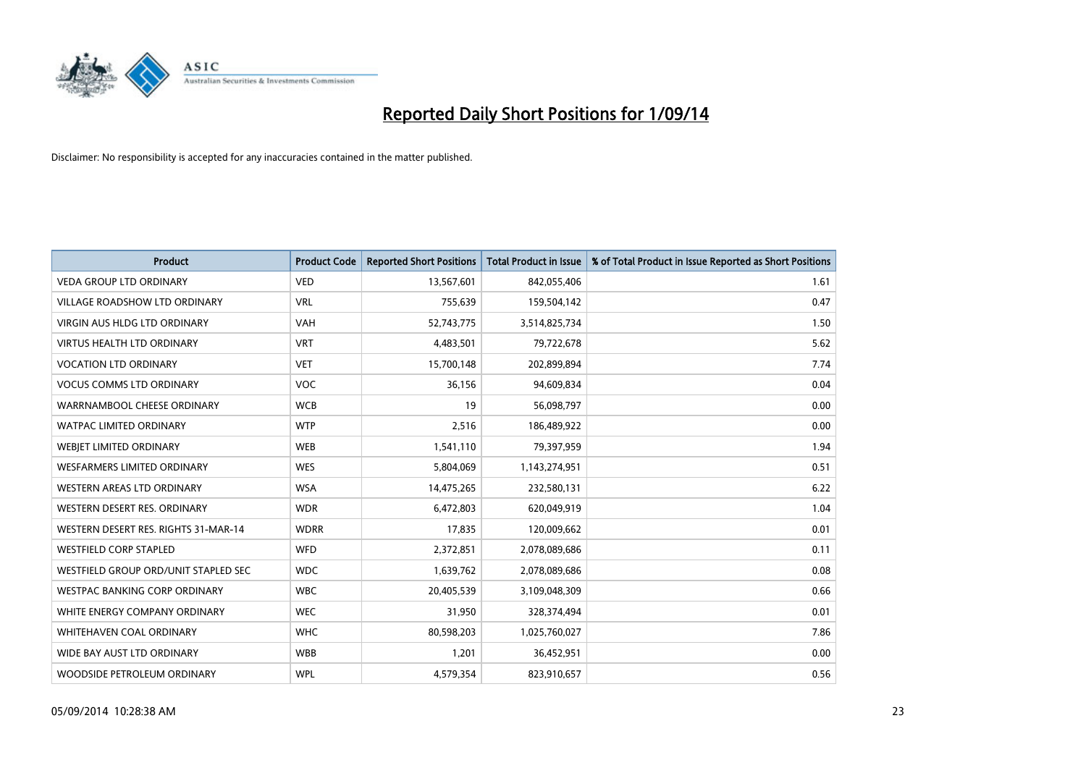

| <b>Product</b>                       | <b>Product Code</b> | <b>Reported Short Positions</b> | <b>Total Product in Issue</b> | % of Total Product in Issue Reported as Short Positions |
|--------------------------------------|---------------------|---------------------------------|-------------------------------|---------------------------------------------------------|
| <b>VEDA GROUP LTD ORDINARY</b>       | <b>VED</b>          | 13,567,601                      | 842,055,406                   | 1.61                                                    |
| VILLAGE ROADSHOW LTD ORDINARY        | <b>VRL</b>          | 755,639                         | 159,504,142                   | 0.47                                                    |
| <b>VIRGIN AUS HLDG LTD ORDINARY</b>  | <b>VAH</b>          | 52,743,775                      | 3,514,825,734                 | 1.50                                                    |
| <b>VIRTUS HEALTH LTD ORDINARY</b>    | <b>VRT</b>          | 4,483,501                       | 79,722,678                    | 5.62                                                    |
| <b>VOCATION LTD ORDINARY</b>         | <b>VET</b>          | 15,700,148                      | 202,899,894                   | 7.74                                                    |
| <b>VOCUS COMMS LTD ORDINARY</b>      | <b>VOC</b>          | 36,156                          | 94,609,834                    | 0.04                                                    |
| WARRNAMBOOL CHEESE ORDINARY          | <b>WCB</b>          | 19                              | 56,098,797                    | 0.00                                                    |
| <b>WATPAC LIMITED ORDINARY</b>       | <b>WTP</b>          | 2,516                           | 186,489,922                   | 0.00                                                    |
| WEBJET LIMITED ORDINARY              | <b>WEB</b>          | 1,541,110                       | 79,397,959                    | 1.94                                                    |
| WESFARMERS LIMITED ORDINARY          | <b>WES</b>          | 5,804,069                       | 1,143,274,951                 | 0.51                                                    |
| WESTERN AREAS LTD ORDINARY           | <b>WSA</b>          | 14,475,265                      | 232,580,131                   | 6.22                                                    |
| WESTERN DESERT RES. ORDINARY         | <b>WDR</b>          | 6,472,803                       | 620,049,919                   | 1.04                                                    |
| WESTERN DESERT RES. RIGHTS 31-MAR-14 | <b>WDRR</b>         | 17,835                          | 120,009,662                   | 0.01                                                    |
| <b>WESTFIELD CORP STAPLED</b>        | WFD                 | 2,372,851                       | 2,078,089,686                 | 0.11                                                    |
| WESTFIELD GROUP ORD/UNIT STAPLED SEC | <b>WDC</b>          | 1,639,762                       | 2,078,089,686                 | 0.08                                                    |
| <b>WESTPAC BANKING CORP ORDINARY</b> | <b>WBC</b>          | 20,405,539                      | 3,109,048,309                 | 0.66                                                    |
| WHITE ENERGY COMPANY ORDINARY        | <b>WEC</b>          | 31,950                          | 328,374,494                   | 0.01                                                    |
| WHITEHAVEN COAL ORDINARY             | <b>WHC</b>          | 80,598,203                      | 1,025,760,027                 | 7.86                                                    |
| WIDE BAY AUST LTD ORDINARY           | <b>WBB</b>          | 1,201                           | 36,452,951                    | 0.00                                                    |
| WOODSIDE PETROLEUM ORDINARY          | <b>WPL</b>          | 4,579,354                       | 823,910,657                   | 0.56                                                    |